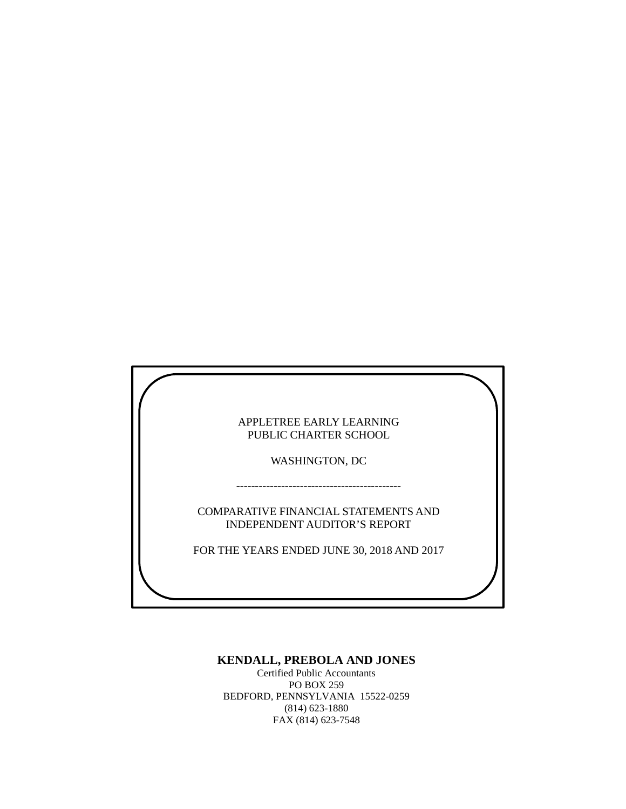

# **KENDALL, PREBOLA AND JONES**

Certified Public Accountants PO BOX 259 BEDFORD, PENNSYLVANIA 15522-0259 (814) 623-1880 FAX (814) 623-7548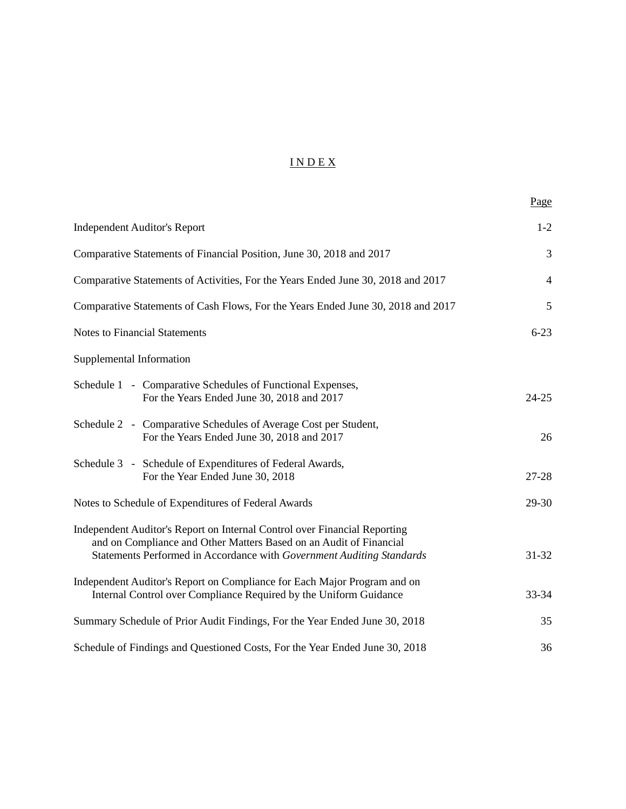# I N D E X

|                                                                                                                                                                                                                          | Page           |
|--------------------------------------------------------------------------------------------------------------------------------------------------------------------------------------------------------------------------|----------------|
| <b>Independent Auditor's Report</b>                                                                                                                                                                                      | $1-2$          |
| Comparative Statements of Financial Position, June 30, 2018 and 2017                                                                                                                                                     | 3              |
| Comparative Statements of Activities, For the Years Ended June 30, 2018 and 2017                                                                                                                                         | $\overline{4}$ |
| Comparative Statements of Cash Flows, For the Years Ended June 30, 2018 and 2017                                                                                                                                         | 5              |
| <b>Notes to Financial Statements</b>                                                                                                                                                                                     | $6 - 23$       |
| Supplemental Information                                                                                                                                                                                                 |                |
| Schedule 1 - Comparative Schedules of Functional Expenses,<br>For the Years Ended June 30, 2018 and 2017                                                                                                                 | $24 - 25$      |
| Schedule 2 - Comparative Schedules of Average Cost per Student,<br>For the Years Ended June 30, 2018 and 2017                                                                                                            | 26             |
| Schedule 3 - Schedule of Expenditures of Federal Awards,<br>For the Year Ended June 30, 2018                                                                                                                             | 27-28          |
| Notes to Schedule of Expenditures of Federal Awards                                                                                                                                                                      | 29-30          |
| Independent Auditor's Report on Internal Control over Financial Reporting<br>and on Compliance and Other Matters Based on an Audit of Financial<br>Statements Performed in Accordance with Government Auditing Standards | 31-32          |
| Independent Auditor's Report on Compliance for Each Major Program and on<br>Internal Control over Compliance Required by the Uniform Guidance                                                                            | 33-34          |
| Summary Schedule of Prior Audit Findings, For the Year Ended June 30, 2018                                                                                                                                               | 35             |
| Schedule of Findings and Questioned Costs, For the Year Ended June 30, 2018                                                                                                                                              | 36             |
|                                                                                                                                                                                                                          |                |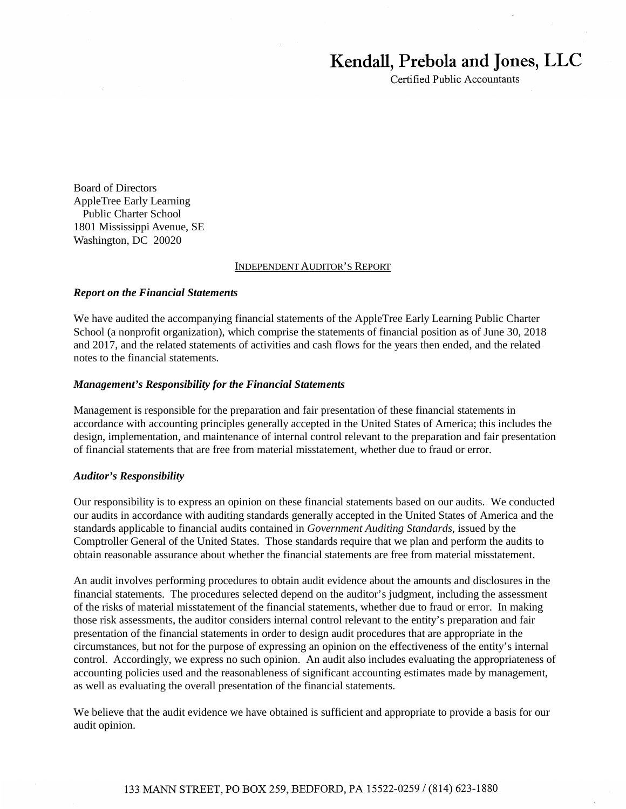# **Kendall, Prebola and Jones, LLC**

Certified Public Accountants

Board of Directors AppleTree Early Learning Public Charter School 1801 Mississippi Avenue, SE Washington, DC 20020

#### INDEPENDENT AUDITOR'S REPORT

#### *Report on the Financial Statements*

We have audited the accompanying financial statements of the AppleTree Early Learning Public Charter School (a nonprofit organization), which comprise the statements of financial position as of June 30, 2018 and 2017, and the related statements of activities and cash flows for the years then ended, and the related notes to the financial statements.

#### *Management's Responsibility for the Financial Statements*

Management is responsible for the preparation and fair presentation of these financial statements in accordance with accounting principles generally accepted in the United States of America; this includes the design, implementation, and maintenance of internal control relevant to the preparation and fair presentation of financial statements that are free from material misstatement, whether due to fraud or error.

#### *Auditor's Responsibility*

Our responsibility is to express an opinion on these financial statements based on our audits. We conducted our audits in accordance with auditing standards generally accepted in the United States of America and the standards applicable to financial audits contained in *Government Auditing Standards*, issued by the Comptroller General of the United States. Those standards require that we plan and perform the audits to obtain reasonable assurance about whether the financial statements are free from material misstatement.

An audit involves performing procedures to obtain audit evidence about the amounts and disclosures in the financial statements. The procedures selected depend on the auditor's judgment, including the assessment of the risks of material misstatement of the financial statements, whether due to fraud or error. In making those risk assessments, the auditor considers internal control relevant to the entity's preparation and fair presentation of the financial statements in order to design audit procedures that are appropriate in the circumstances, but not for the purpose of expressing an opinion on the effectiveness of the entity's internal control. Accordingly, we express no such opinion. An audit also includes evaluating the appropriateness of accounting policies used and the reasonableness of significant accounting estimates made by management, as well as evaluating the overall presentation of the financial statements.

We believe that the audit evidence we have obtained is sufficient and appropriate to provide a basis for our audit opinion.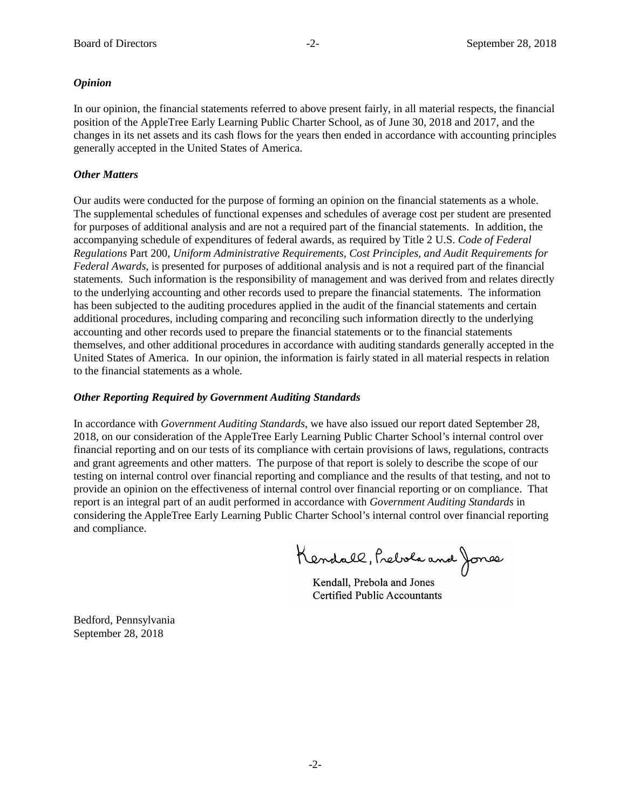#### *Opinion*

In our opinion, the financial statements referred to above present fairly, in all material respects, the financial position of the AppleTree Early Learning Public Charter School, as of June 30, 2018 and 2017, and the changes in its net assets and its cash flows for the years then ended in accordance with accounting principles generally accepted in the United States of America.

#### *Other Matters*

Our audits were conducted for the purpose of forming an opinion on the financial statements as a whole. The supplemental schedules of functional expenses and schedules of average cost per student are presented for purposes of additional analysis and are not a required part of the financial statements. In addition, the accompanying schedule of expenditures of federal awards, as required by Title 2 U.S. *Code of Federal Regulations* Part 200, *Uniform Administrative Requirements, Cost Principles, and Audit Requirements for Federal Awards*, is presented for purposes of additional analysis and is not a required part of the financial statements. Such information is the responsibility of management and was derived from and relates directly to the underlying accounting and other records used to prepare the financial statements. The information has been subjected to the auditing procedures applied in the audit of the financial statements and certain additional procedures, including comparing and reconciling such information directly to the underlying accounting and other records used to prepare the financial statements or to the financial statements themselves, and other additional procedures in accordance with auditing standards generally accepted in the United States of America. In our opinion, the information is fairly stated in all material respects in relation to the financial statements as a whole.

#### *Other Reporting Required by Government Auditing Standards*

In accordance with *Government Auditing Standards*, we have also issued our report dated September 28, 2018, on our consideration of the AppleTree Early Learning Public Charter School's internal control over financial reporting and on our tests of its compliance with certain provisions of laws, regulations, contracts and grant agreements and other matters. The purpose of that report is solely to describe the scope of our testing on internal control over financial reporting and compliance and the results of that testing, and not to provide an opinion on the effectiveness of internal control over financial reporting or on compliance. That report is an integral part of an audit performed in accordance with *Government Auditing Standards* in considering the AppleTree Early Learning Public Charter School's internal control over financial reporting and compliance.

Kendall, Prebola and Jones

Kendall, Prebola and Jones Kendall, Prebola and Jones Certified Public Accountants Certified Public Accountants

Bedford, Pennsylvania September 28, 2018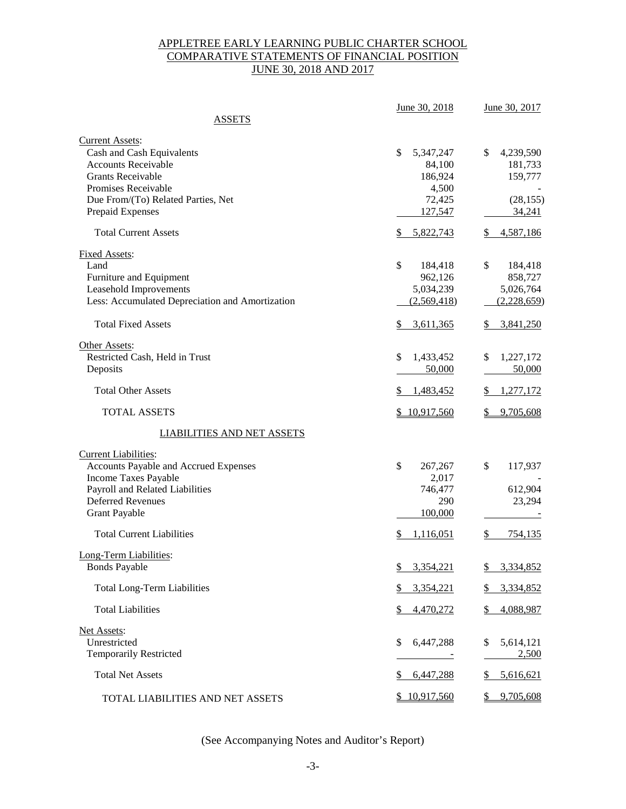## APPLETREE EARLY LEARNING PUBLIC CHARTER SCHOOL COMPARATIVE STATEMENTS OF FINANCIAL POSITION JUNE 30, 2018 AND 2017

| <b>ASSETS</b>                                       | June 30, 2018   | June 30, 2017            |
|-----------------------------------------------------|-----------------|--------------------------|
|                                                     |                 |                          |
| <b>Current Assets:</b><br>Cash and Cash Equivalents | \$<br>5,347,247 | \$<br>4,239,590          |
| <b>Accounts Receivable</b>                          | 84,100          | 181,733                  |
| <b>Grants Receivable</b>                            | 186,924         | 159,777                  |
| Promises Receivable                                 | 4,500           |                          |
| Due From/(To) Related Parties, Net                  | 72,425          | (28, 155)                |
| Prepaid Expenses                                    | 127,547         | 34,241                   |
| <b>Total Current Assets</b>                         | 5,822,743<br>\$ | 4,587,186                |
| <b>Fixed Assets:</b>                                |                 |                          |
| Land                                                | \$<br>184,418   | \$<br>184,418            |
| Furniture and Equipment                             | 962,126         | 858,727                  |
| Leasehold Improvements                              | 5,034,239       | 5,026,764                |
| Less: Accumulated Depreciation and Amortization     | (2,569,418)     | (2,228,659)              |
| <b>Total Fixed Assets</b>                           | 3,611,365<br>\$ | 3,841,250                |
| Other Assets:                                       |                 |                          |
| Restricted Cash, Held in Trust                      | \$<br>1,433,452 | 1,227,172<br>\$          |
| Deposits                                            | 50,000          | 50,000                   |
| <b>Total Other Assets</b>                           | 1,483,452<br>S. | 1,277,172                |
| <b>TOTAL ASSETS</b>                                 | \$10,917,560    | 9,705,608                |
| <b>LIABILITIES AND NET ASSETS</b>                   |                 |                          |
| <b>Current Liabilities:</b>                         |                 |                          |
| Accounts Payable and Accrued Expenses               | \$<br>267,267   | \$<br>117,937            |
| Income Taxes Payable                                | 2,017           |                          |
| Payroll and Related Liabilities                     | 746,477         | 612,904                  |
| <b>Deferred Revenues</b>                            | 290             | 23,294                   |
| <b>Grant Payable</b>                                | 100,000         |                          |
| <b>Total Current Liabilities</b>                    | 1,116,051<br>\$ | 754,135<br>$\frac{1}{2}$ |
| Long-Term Liabilities:                              |                 |                          |
| <b>Bonds Payable</b>                                | 3,354,221<br>\$ | 3,334,852<br>\$          |
| <b>Total Long-Term Liabilities</b>                  | 3,354,221       | 3,334,852                |
| <b>Total Liabilities</b>                            | 4,470,272<br>S. | 4,088,987<br>S.          |
| Net Assets:                                         |                 |                          |
| Unrestricted                                        | \$<br>6,447,288 | 5,614,121<br>S           |
| <b>Temporarily Restricted</b>                       |                 | 2,500                    |
|                                                     |                 |                          |
| <b>Total Net Assets</b>                             | 6,447,288<br>\$ | 5,616,621<br>\$.         |
| TOTAL LIABILITIES AND NET ASSETS                    | \$10,917,560    | 9,705,608                |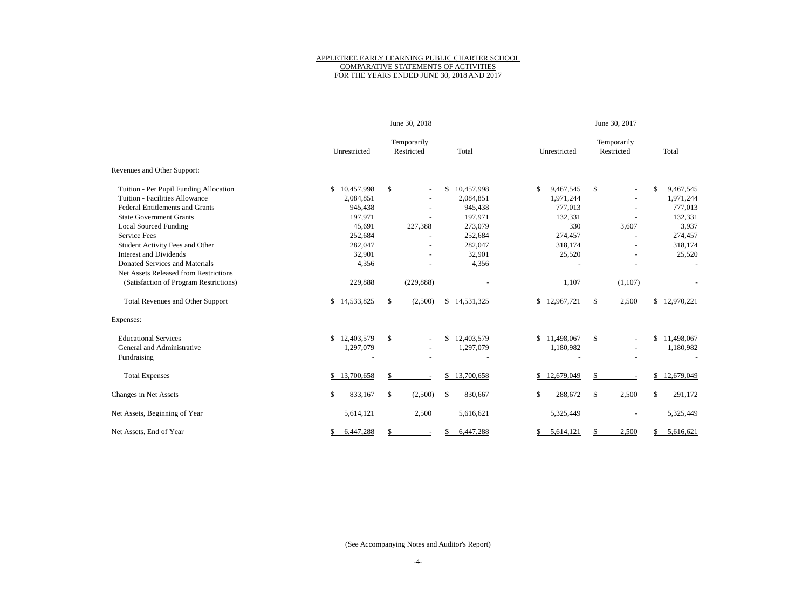#### APPLETREE EARLY LEARNING PUBLIC CHARTER SCHOOL COMPARATIVE STATEMENTS OF ACTIVITIES FOR THE YEARS ENDED JUNE 30, 2018 AND 2017

|                                         |                  | June 30, 2017             |                  |                 |                                    |                             |
|-----------------------------------------|------------------|---------------------------|------------------|-----------------|------------------------------------|-----------------------------|
|                                         | Unrestricted     | Temporarily<br>Restricted | Total            | Unrestricted    | Temporarily<br>Restricted          | Total                       |
| Revenues and Other Support:             |                  |                           |                  |                 |                                    |                             |
| Tuition - Per Pupil Funding Allocation  | 10,457,998<br>\$ | \$                        | 10,457,998<br>\$ | 9,467,545<br>\$ | \$                                 | 9,467,545<br>\$             |
| <b>Tuition - Facilities Allowance</b>   | 2,084,851        |                           | 2,084,851        | 1,971,244       |                                    | 1,971,244                   |
| <b>Federal Entitlements and Grants</b>  | 945,438          |                           | 945,438          | 777,013         |                                    | 777,013                     |
| <b>State Government Grants</b>          | 197,971          |                           | 197,971          | 132,331         |                                    | 132,331                     |
| <b>Local Sourced Funding</b>            | 45,691           | 227,388                   | 273,079          | 330             | 3,607                              | 3,937                       |
| <b>Service Fees</b>                     | 252,684          |                           | 252,684          | 274,457         |                                    | 274,457                     |
| Student Activity Fees and Other         | 282,047          | $\sim$                    | 282,047          | 318,174         |                                    | 318,174                     |
| <b>Interest and Dividends</b>           | 32,901           |                           | 32,901           | 25,520          |                                    | 25,520                      |
| Donated Services and Materials          | 4,356            |                           | 4,356            |                 |                                    |                             |
| Net Assets Released from Restrictions   |                  |                           |                  |                 |                                    |                             |
| (Satisfaction of Program Restrictions)  | 229,888          | (229, 888)                |                  | 1,107           | (1,107)                            |                             |
| <b>Total Revenues and Other Support</b> | 14,533,825       | (2,500)                   | \$14,531,325     | \$12,967,721    | 2,500                              | \$12,970,221                |
| Expenses:                               |                  |                           |                  |                 |                                    |                             |
| <b>Educational Services</b>             | 12,403,579<br>\$ | \$                        | 12,403,579<br>\$ | \$11,498,067    | \$                                 | $\mathcal{S}$<br>11,498,067 |
| General and Administrative              | 1,297,079        |                           | 1,297,079        | 1,180,982       |                                    | 1,180,982                   |
| Fundraising                             |                  |                           |                  |                 |                                    |                             |
| <b>Total Expenses</b>                   | 13,700,658<br>\$ |                           | \$<br>13,700,658 | \$12,679,049    | \$                                 | $\mathcal{S}$<br>12,679,049 |
| Changes in Net Assets                   | \$<br>833,167    | \$<br>(2,500)             | -\$<br>830,667   | \$<br>288,672   | $\boldsymbol{\mathsf{S}}$<br>2,500 | \$<br>291,172               |
| Net Assets, Beginning of Year           | 5,614,121        | 2,500                     | 5,616,621        | 5,325,449       |                                    | 5,325,449                   |
| Net Assets, End of Year                 | 6,447,288<br>\$  |                           | 6,447,288        | 5,614,121<br>\$ | 2,500                              | 5,616,621<br>S.             |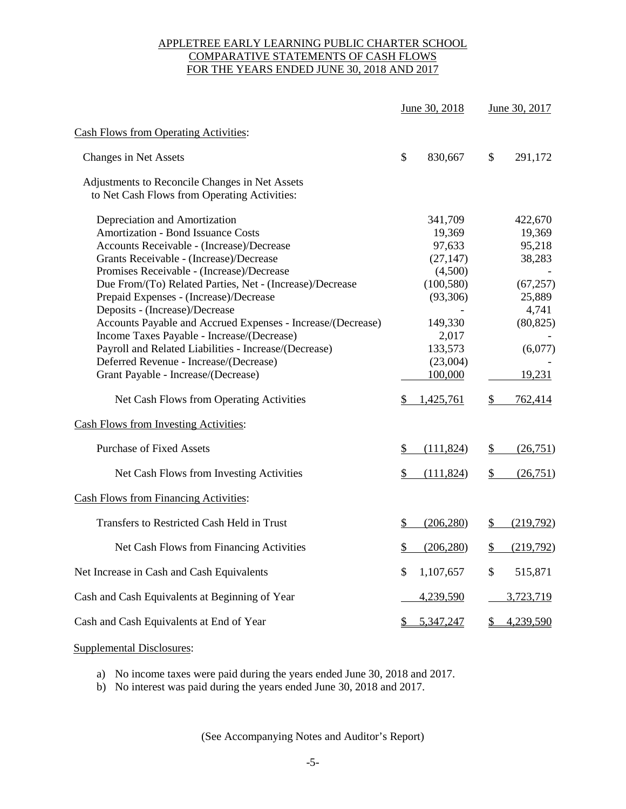#### APPLETREE EARLY LEARNING PUBLIC CHARTER SCHOOL COMPARATIVE STATEMENTS OF CASH FLOWS FOR THE YEARS ENDED JUNE 30, 2018 AND 2017

|                                                                                                                                                                                                                                                                                                                                                                                                                                                                                                                                                                                                                | June 30, 2018                                                                                                                        | June 30, 2017                                                                                           |
|----------------------------------------------------------------------------------------------------------------------------------------------------------------------------------------------------------------------------------------------------------------------------------------------------------------------------------------------------------------------------------------------------------------------------------------------------------------------------------------------------------------------------------------------------------------------------------------------------------------|--------------------------------------------------------------------------------------------------------------------------------------|---------------------------------------------------------------------------------------------------------|
| <b>Cash Flows from Operating Activities:</b>                                                                                                                                                                                                                                                                                                                                                                                                                                                                                                                                                                   |                                                                                                                                      |                                                                                                         |
| <b>Changes in Net Assets</b>                                                                                                                                                                                                                                                                                                                                                                                                                                                                                                                                                                                   | \$<br>830,667                                                                                                                        | \$<br>291,172                                                                                           |
| Adjustments to Reconcile Changes in Net Assets<br>to Net Cash Flows from Operating Activities:                                                                                                                                                                                                                                                                                                                                                                                                                                                                                                                 |                                                                                                                                      |                                                                                                         |
| Depreciation and Amortization<br><b>Amortization - Bond Issuance Costs</b><br>Accounts Receivable - (Increase)/Decrease<br>Grants Receivable - (Increase)/Decrease<br>Promises Receivable - (Increase)/Decrease<br>Due From/(To) Related Parties, Net - (Increase)/Decrease<br>Prepaid Expenses - (Increase)/Decrease<br>Deposits - (Increase)/Decrease<br>Accounts Payable and Accrued Expenses - Increase/(Decrease)<br>Income Taxes Payable - Increase/(Decrease)<br>Payroll and Related Liabilities - Increase/(Decrease)<br>Deferred Revenue - Increase/(Decrease)<br>Grant Payable - Increase/(Decrease) | 341,709<br>19,369<br>97,633<br>(27, 147)<br>(4,500)<br>(100, 580)<br>(93, 306)<br>149,330<br>2,017<br>133,573<br>(23,004)<br>100,000 | 422,670<br>19,369<br>95,218<br>38,283<br>(67, 257)<br>25,889<br>4,741<br>(80, 825)<br>(6,077)<br>19,231 |
| Net Cash Flows from Operating Activities<br><b>Cash Flows from Investing Activities:</b>                                                                                                                                                                                                                                                                                                                                                                                                                                                                                                                       | 1,425,761                                                                                                                            | 762,414<br>\$                                                                                           |
| <b>Purchase of Fixed Assets</b><br>Net Cash Flows from Investing Activities                                                                                                                                                                                                                                                                                                                                                                                                                                                                                                                                    | (111, 824)<br>\$<br>(111, 824)<br>\$                                                                                                 | (26,751)<br>\$<br>(26,751)<br>\$                                                                        |
| <b>Cash Flows from Financing Activities:</b>                                                                                                                                                                                                                                                                                                                                                                                                                                                                                                                                                                   |                                                                                                                                      |                                                                                                         |
| Transfers to Restricted Cash Held in Trust                                                                                                                                                                                                                                                                                                                                                                                                                                                                                                                                                                     | (206, 280)<br>\$.                                                                                                                    | (219,792)<br>\$                                                                                         |
| Net Cash Flows from Financing Activities                                                                                                                                                                                                                                                                                                                                                                                                                                                                                                                                                                       | (206, 280)<br>\$                                                                                                                     | \$<br>(219,792)                                                                                         |
| Net Increase in Cash and Cash Equivalents                                                                                                                                                                                                                                                                                                                                                                                                                                                                                                                                                                      | \$<br>1,107,657                                                                                                                      | \$<br>515,871                                                                                           |
| Cash and Cash Equivalents at Beginning of Year                                                                                                                                                                                                                                                                                                                                                                                                                                                                                                                                                                 | 4,239,590                                                                                                                            | 3,723,719                                                                                               |
| Cash and Cash Equivalents at End of Year                                                                                                                                                                                                                                                                                                                                                                                                                                                                                                                                                                       | 5,347,247<br>S.                                                                                                                      | 4,239,590<br>\$                                                                                         |

Supplemental Disclosures:

a) No income taxes were paid during the years ended June 30, 2018 and 2017.

b) No interest was paid during the years ended June 30, 2018 and 2017.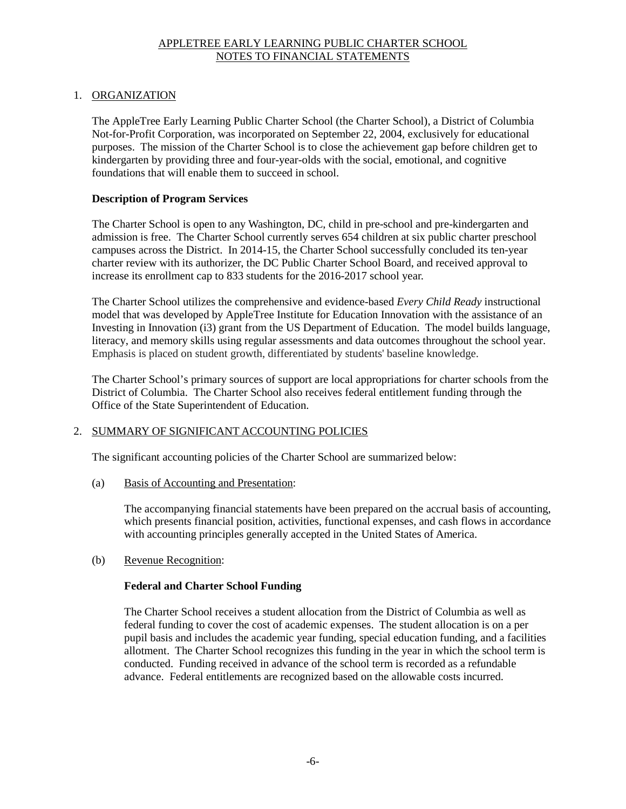## 1. ORGANIZATION

The AppleTree Early Learning Public Charter School (the Charter School), a District of Columbia Not-for-Profit Corporation, was incorporated on September 22, 2004, exclusively for educational purposes. The mission of the Charter School is to close the achievement gap before children get to kindergarten by providing three and four-year-olds with the social, emotional, and cognitive foundations that will enable them to succeed in school.

## **Description of Program Services**

The Charter School is open to any Washington, DC, child in pre-school and pre-kindergarten and admission is free. The Charter School currently serves 654 children at six public charter preschool campuses across the District. In 2014-15, the Charter School successfully concluded its ten-year charter review with its authorizer, the DC Public Charter School Board, and received approval to increase its enrollment cap to 833 students for the 2016-2017 school year.

The Charter School utilizes the comprehensive and evidence-based *Every Child Ready* instructional model that was developed by AppleTree Institute for Education Innovation with the assistance of an Investing in Innovation (i3) grant from the US Department of Education. The model builds language, literacy, and memory skills using regular assessments and data outcomes throughout the school year. Emphasis is placed on student growth, differentiated by students' baseline knowledge.

The Charter School's primary sources of support are local appropriations for charter schools from the District of Columbia. The Charter School also receives federal entitlement funding through the Office of the State Superintendent of Education.

# 2. SUMMARY OF SIGNIFICANT ACCOUNTING POLICIES

The significant accounting policies of the Charter School are summarized below:

(a) Basis of Accounting and Presentation:

The accompanying financial statements have been prepared on the accrual basis of accounting, which presents financial position, activities, functional expenses, and cash flows in accordance with accounting principles generally accepted in the United States of America.

(b) Revenue Recognition:

#### **Federal and Charter School Funding**

The Charter School receives a student allocation from the District of Columbia as well as federal funding to cover the cost of academic expenses. The student allocation is on a per pupil basis and includes the academic year funding, special education funding, and a facilities allotment. The Charter School recognizes this funding in the year in which the school term is conducted. Funding received in advance of the school term is recorded as a refundable advance. Federal entitlements are recognized based on the allowable costs incurred.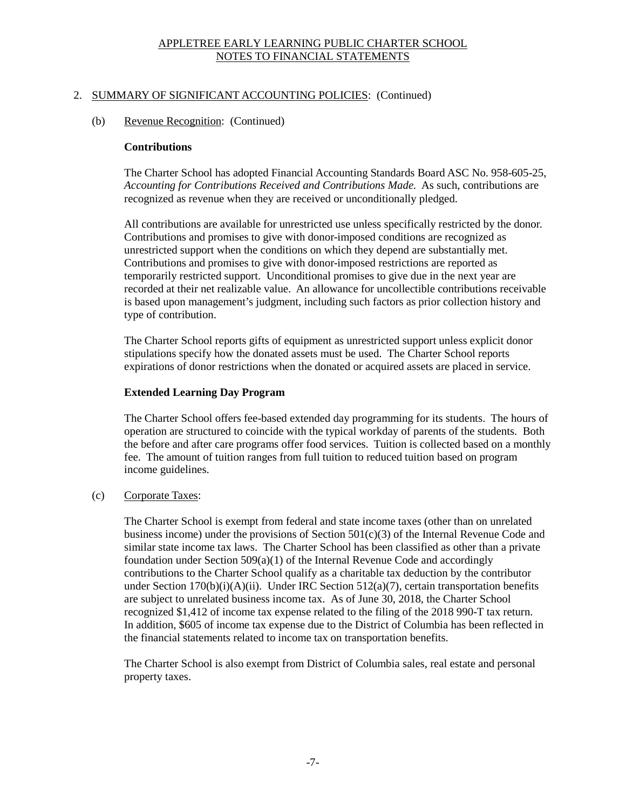## 2. SUMMARY OF SIGNIFICANT ACCOUNTING POLICIES: (Continued)

#### (b) Revenue Recognition: (Continued)

#### **Contributions**

The Charter School has adopted Financial Accounting Standards Board ASC No. 958-605-25, *Accounting for Contributions Received and Contributions Made.* As such, contributions are recognized as revenue when they are received or unconditionally pledged.

All contributions are available for unrestricted use unless specifically restricted by the donor. Contributions and promises to give with donor-imposed conditions are recognized as unrestricted support when the conditions on which they depend are substantially met. Contributions and promises to give with donor-imposed restrictions are reported as temporarily restricted support. Unconditional promises to give due in the next year are recorded at their net realizable value. An allowance for uncollectible contributions receivable is based upon management's judgment, including such factors as prior collection history and type of contribution.

The Charter School reports gifts of equipment as unrestricted support unless explicit donor stipulations specify how the donated assets must be used. The Charter School reports expirations of donor restrictions when the donated or acquired assets are placed in service.

#### **Extended Learning Day Program**

The Charter School offers fee-based extended day programming for its students. The hours of operation are structured to coincide with the typical workday of parents of the students. Both the before and after care programs offer food services. Tuition is collected based on a monthly fee. The amount of tuition ranges from full tuition to reduced tuition based on program income guidelines.

(c) Corporate Taxes:

The Charter School is exempt from federal and state income taxes (other than on unrelated business income) under the provisions of Section 501(c)(3) of the Internal Revenue Code and similar state income tax laws. The Charter School has been classified as other than a private foundation under Section 509(a)(1) of the Internal Revenue Code and accordingly contributions to the Charter School qualify as a charitable tax deduction by the contributor under Section  $170(b)(i)(A)(ii)$ . Under IRC Section  $512(a)(7)$ , certain transportation benefits are subject to unrelated business income tax. As of June 30, 2018, the Charter School recognized \$1,412 of income tax expense related to the filing of the 2018 990-T tax return. In addition, \$605 of income tax expense due to the District of Columbia has been reflected in the financial statements related to income tax on transportation benefits.

The Charter School is also exempt from District of Columbia sales, real estate and personal property taxes.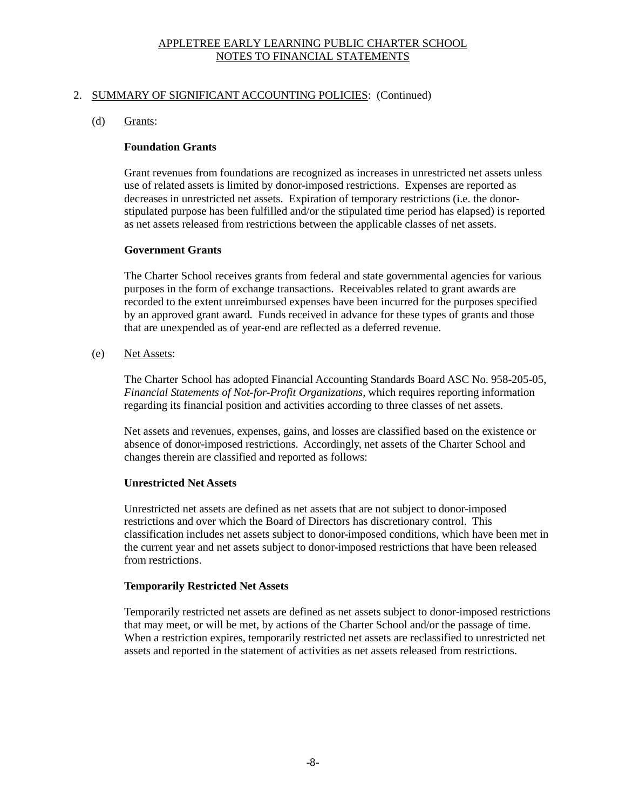# 2. SUMMARY OF SIGNIFICANT ACCOUNTING POLICIES: (Continued)

(d) Grants:

## **Foundation Grants**

Grant revenues from foundations are recognized as increases in unrestricted net assets unless use of related assets is limited by donor-imposed restrictions. Expenses are reported as decreases in unrestricted net assets. Expiration of temporary restrictions (i.e. the donorstipulated purpose has been fulfilled and/or the stipulated time period has elapsed) is reported as net assets released from restrictions between the applicable classes of net assets.

## **Government Grants**

The Charter School receives grants from federal and state governmental agencies for various purposes in the form of exchange transactions. Receivables related to grant awards are recorded to the extent unreimbursed expenses have been incurred for the purposes specified by an approved grant award. Funds received in advance for these types of grants and those that are unexpended as of year-end are reflected as a deferred revenue.

(e) Net Assets:

The Charter School has adopted Financial Accounting Standards Board ASC No. 958-205-05, *Financial Statements of Not-for-Profit Organizations*, which requires reporting information regarding its financial position and activities according to three classes of net assets.

Net assets and revenues, expenses, gains, and losses are classified based on the existence or absence of donor-imposed restrictions. Accordingly, net assets of the Charter School and changes therein are classified and reported as follows:

#### **Unrestricted Net Assets**

Unrestricted net assets are defined as net assets that are not subject to donor-imposed restrictions and over which the Board of Directors has discretionary control. This classification includes net assets subject to donor-imposed conditions, which have been met in the current year and net assets subject to donor-imposed restrictions that have been released from restrictions.

#### **Temporarily Restricted Net Assets**

Temporarily restricted net assets are defined as net assets subject to donor-imposed restrictions that may meet, or will be met, by actions of the Charter School and/or the passage of time. When a restriction expires, temporarily restricted net assets are reclassified to unrestricted net assets and reported in the statement of activities as net assets released from restrictions.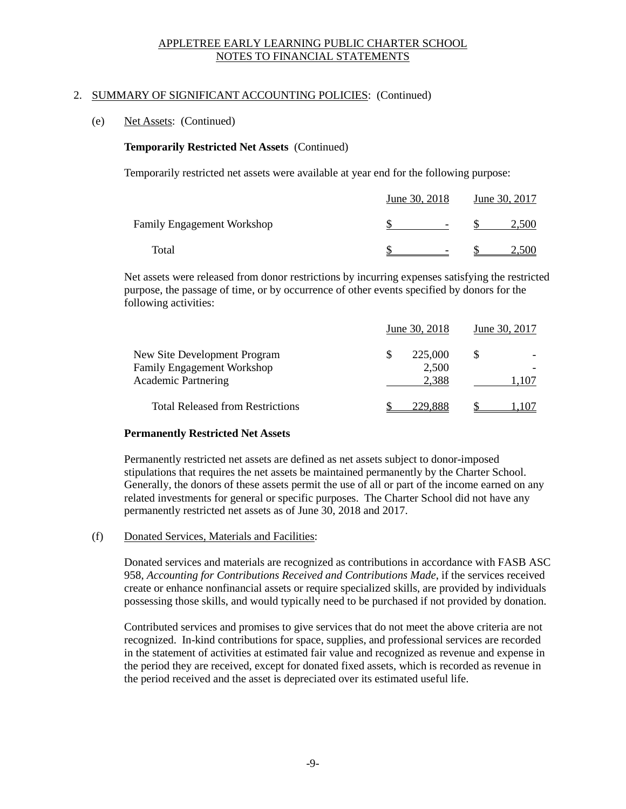## 2. SUMMARY OF SIGNIFICANT ACCOUNTING POLICIES: (Continued)

(e) Net Assets: (Continued)

## **Temporarily Restricted Net Assets** (Continued)

Temporarily restricted net assets were available at year end for the following purpose:

|                                   | June 30, 2018            | June 30, 2017 |  |  |
|-----------------------------------|--------------------------|---------------|--|--|
| <b>Family Engagement Workshop</b> | $\overline{\phantom{0}}$ | 2,500         |  |  |
| Total                             | -                        |               |  |  |

Net assets were released from donor restrictions by incurring expenses satisfying the restricted purpose, the passage of time, or by occurrence of other events specified by donors for the following activities:

|                                                                                                 | June 30, 2018             | June 30, 2017 |       |
|-------------------------------------------------------------------------------------------------|---------------------------|---------------|-------|
| New Site Development Program<br><b>Family Engagement Workshop</b><br><b>Academic Partnering</b> | 225,000<br>2,500<br>2.388 |               | l.107 |
| <b>Total Released from Restrictions</b>                                                         | 229.888                   |               |       |

## **Permanently Restricted Net Assets**

Permanently restricted net assets are defined as net assets subject to donor-imposed stipulations that requires the net assets be maintained permanently by the Charter School. Generally, the donors of these assets permit the use of all or part of the income earned on any related investments for general or specific purposes. The Charter School did not have any permanently restricted net assets as of June 30, 2018 and 2017.

#### (f) Donated Services, Materials and Facilities:

Donated services and materials are recognized as contributions in accordance with FASB ASC 958, *Accounting for Contributions Received and Contributions Made*, if the services received create or enhance nonfinancial assets or require specialized skills, are provided by individuals possessing those skills, and would typically need to be purchased if not provided by donation.

Contributed services and promises to give services that do not meet the above criteria are not recognized. In-kind contributions for space, supplies, and professional services are recorded in the statement of activities at estimated fair value and recognized as revenue and expense in the period they are received, except for donated fixed assets, which is recorded as revenue in the period received and the asset is depreciated over its estimated useful life.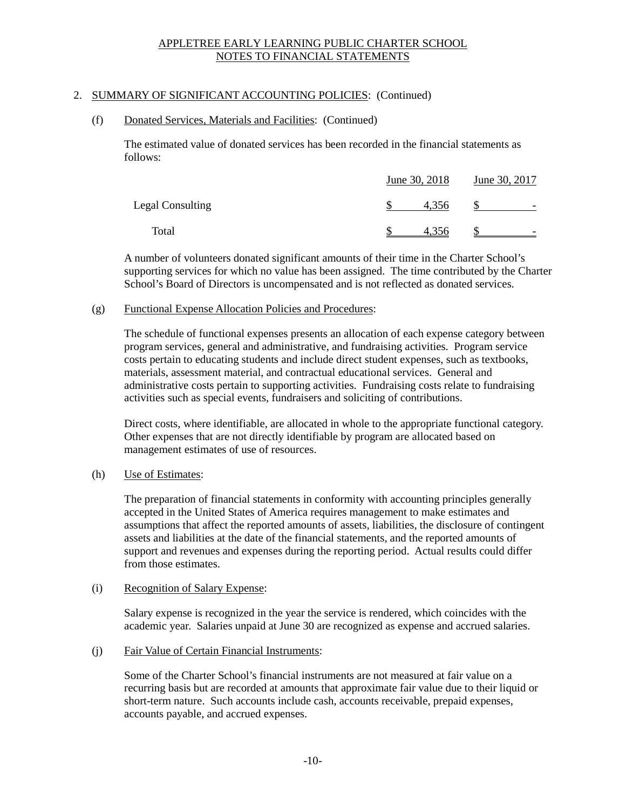## 2. SUMMARY OF SIGNIFICANT ACCOUNTING POLICIES: (Continued)

#### (f) Donated Services, Materials and Facilities: (Continued)

The estimated value of donated services has been recorded in the financial statements as follows:

|                  | June 30, 2018 | June 30, 2017 |  |  |
|------------------|---------------|---------------|--|--|
| Legal Consulting | 4,356         | -             |  |  |
| Total            | 4.356         | -             |  |  |

A number of volunteers donated significant amounts of their time in the Charter School's supporting services for which no value has been assigned. The time contributed by the Charter School's Board of Directors is uncompensated and is not reflected as donated services.

#### (g) Functional Expense Allocation Policies and Procedures:

The schedule of functional expenses presents an allocation of each expense category between program services, general and administrative, and fundraising activities. Program service costs pertain to educating students and include direct student expenses, such as textbooks, materials, assessment material, and contractual educational services. General and administrative costs pertain to supporting activities. Fundraising costs relate to fundraising activities such as special events, fundraisers and soliciting of contributions.

Direct costs, where identifiable, are allocated in whole to the appropriate functional category. Other expenses that are not directly identifiable by program are allocated based on management estimates of use of resources.

#### (h) Use of Estimates:

The preparation of financial statements in conformity with accounting principles generally accepted in the United States of America requires management to make estimates and assumptions that affect the reported amounts of assets, liabilities, the disclosure of contingent assets and liabilities at the date of the financial statements, and the reported amounts of support and revenues and expenses during the reporting period. Actual results could differ from those estimates.

#### (i) Recognition of Salary Expense:

Salary expense is recognized in the year the service is rendered, which coincides with the academic year. Salaries unpaid at June 30 are recognized as expense and accrued salaries.

#### (j) Fair Value of Certain Financial Instruments:

Some of the Charter School's financial instruments are not measured at fair value on a recurring basis but are recorded at amounts that approximate fair value due to their liquid or short-term nature. Such accounts include cash, accounts receivable, prepaid expenses, accounts payable, and accrued expenses.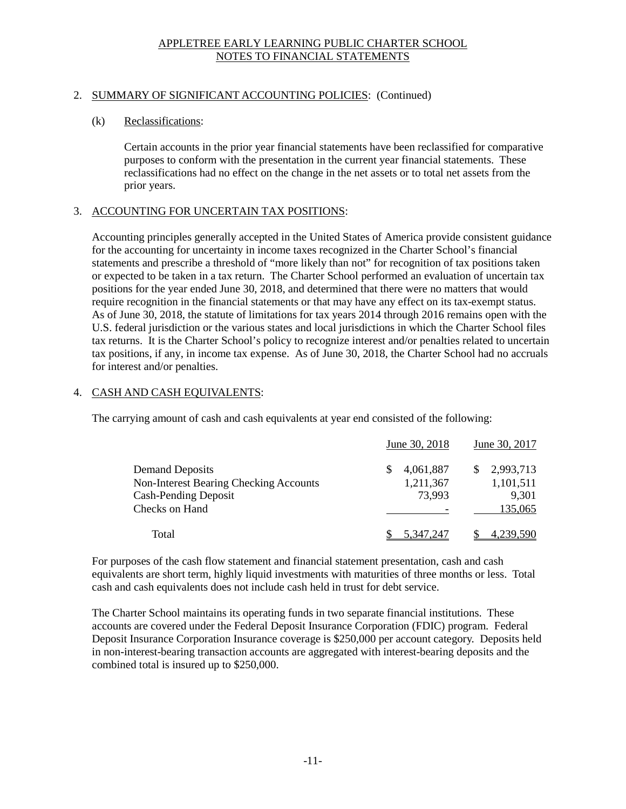# 2. SUMMARY OF SIGNIFICANT ACCOUNTING POLICIES: (Continued)

## (k) Reclassifications:

Certain accounts in the prior year financial statements have been reclassified for comparative purposes to conform with the presentation in the current year financial statements. These reclassifications had no effect on the change in the net assets or to total net assets from the prior years.

## 3. ACCOUNTING FOR UNCERTAIN TAX POSITIONS:

Accounting principles generally accepted in the United States of America provide consistent guidance for the accounting for uncertainty in income taxes recognized in the Charter School's financial statements and prescribe a threshold of "more likely than not" for recognition of tax positions taken or expected to be taken in a tax return. The Charter School performed an evaluation of uncertain tax positions for the year ended June 30, 2018, and determined that there were no matters that would require recognition in the financial statements or that may have any effect on its tax-exempt status. As of June 30, 2018, the statute of limitations for tax years 2014 through 2016 remains open with the U.S. federal jurisdiction or the various states and local jurisdictions in which the Charter School files tax returns. It is the Charter School's policy to recognize interest and/or penalties related to uncertain tax positions, if any, in income tax expense. As of June 30, 2018, the Charter School had no accruals for interest and/or penalties.

## 4. CASH AND CASH EQUIVALENTS:

The carrying amount of cash and cash equivalents at year end consisted of the following:

|                                               | June 30, 2018 | June 30, 2017  |  |  |
|-----------------------------------------------|---------------|----------------|--|--|
| <b>Demand Deposits</b>                        | 4,061,887     | 2,993,713<br>S |  |  |
| <b>Non-Interest Bearing Checking Accounts</b> | 1,211,367     | 1,101,511      |  |  |
| <b>Cash-Pending Deposit</b>                   | 73,993        | 9,301          |  |  |
| Checks on Hand                                |               | 135,065        |  |  |
| Total                                         | 5.347.247     | 4,239.590      |  |  |

For purposes of the cash flow statement and financial statement presentation, cash and cash equivalents are short term, highly liquid investments with maturities of three months or less. Total cash and cash equivalents does not include cash held in trust for debt service.

The Charter School maintains its operating funds in two separate financial institutions. These accounts are covered under the Federal Deposit Insurance Corporation (FDIC) program. Federal Deposit Insurance Corporation Insurance coverage is \$250,000 per account category. Deposits held in non-interest-bearing transaction accounts are aggregated with interest-bearing deposits and the combined total is insured up to \$250,000.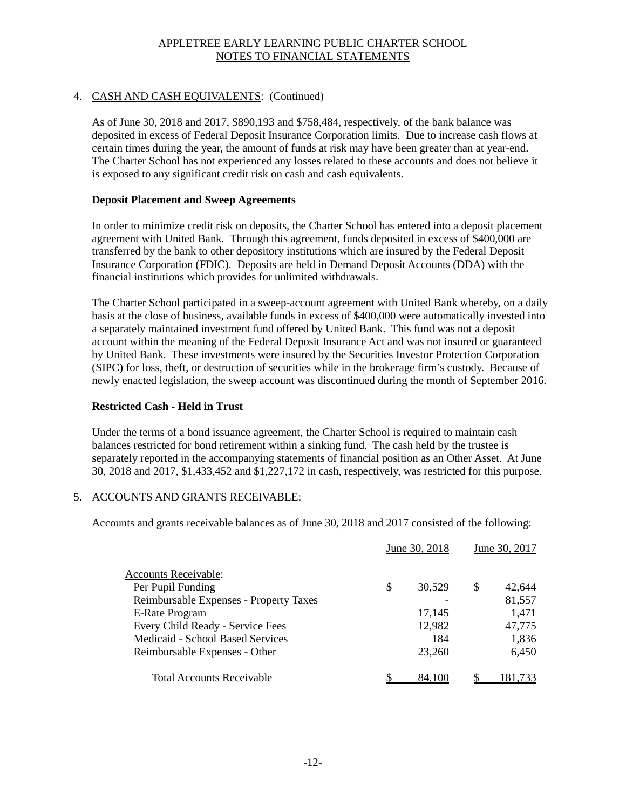# 4. CASH AND CASH EQUIVALENTS: (Continued)

As of June 30, 2018 and 2017, \$890,193 and \$758,484, respectively, of the bank balance was deposited in excess of Federal Deposit Insurance Corporation limits. Due to increase cash flows at certain times during the year, the amount of funds at risk may have been greater than at year-end. The Charter School has not experienced any losses related to these accounts and does not believe it is exposed to any significant credit risk on cash and cash equivalents.

## **Deposit Placement and Sweep Agreements**

In order to minimize credit risk on deposits, the Charter School has entered into a deposit placement agreement with United Bank. Through this agreement, funds deposited in excess of \$400,000 are transferred by the bank to other depository institutions which are insured by the Federal Deposit Insurance Corporation (FDIC). Deposits are held in Demand Deposit Accounts (DDA) with the financial institutions which provides for unlimited withdrawals.

The Charter School participated in a sweep-account agreement with United Bank whereby, on a daily basis at the close of business, available funds in excess of \$400,000 were automatically invested into a separately maintained investment fund offered by United Bank. This fund was not a deposit account within the meaning of the Federal Deposit Insurance Act and was not insured or guaranteed by United Bank. These investments were insured by the Securities Investor Protection Corporation (SIPC) for loss, theft, or destruction of securities while in the brokerage firm's custody. Because of newly enacted legislation, the sweep account was discontinued during the month of September 2016.

#### **Restricted Cash - Held in Trust**

Under the terms of a bond issuance agreement, the Charter School is required to maintain cash balances restricted for bond retirement within a sinking fund. The cash held by the trustee is separately reported in the accompanying statements of financial position as an Other Asset. At June 30, 2018 and 2017, \$1,433,452 and \$1,227,172 in cash, respectively, was restricted for this purpose.

#### 5. ACCOUNTS AND GRANTS RECEIVABLE:

Accounts and grants receivable balances as of June 30, 2018 and 2017 consisted of the following:

|                                        |   | June 30, 2018 | June 30, 2017 |         |  |
|----------------------------------------|---|---------------|---------------|---------|--|
| Accounts Receivable:                   |   |               |               |         |  |
| Per Pupil Funding                      | S | 30,529        | S             | 42,644  |  |
| Reimbursable Expenses - Property Taxes |   |               |               | 81,557  |  |
| <b>E-Rate Program</b>                  |   | 17,145        |               | 1,471   |  |
| Every Child Ready - Service Fees       |   | 12,982        |               | 47,775  |  |
| Medicaid - School Based Services       |   | 184           |               | 1,836   |  |
| Reimbursable Expenses - Other          |   | 23,260        |               | 6,450   |  |
|                                        |   |               |               |         |  |
| <b>Total Accounts Receivable</b>       |   | 84.100        |               | .81.733 |  |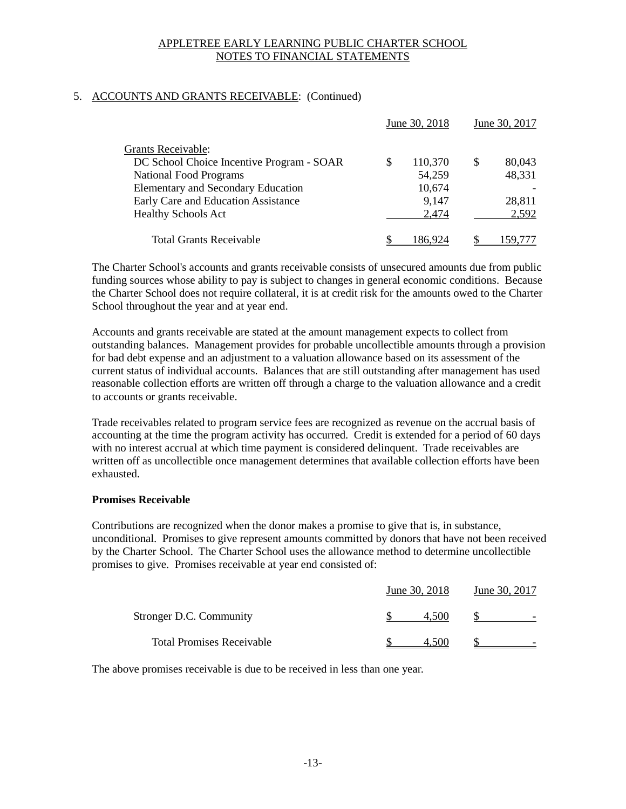## 5. ACCOUNTS AND GRANTS RECEIVABLE: (Continued)

|                                           | June 30, 2018 | June 30, 2017 |         |
|-------------------------------------------|---------------|---------------|---------|
| <b>Grants Receivable:</b>                 |               |               |         |
| DC School Choice Incentive Program - SOAR | \$<br>110,370 | S             | 80,043  |
| <b>National Food Programs</b>             | 54,259        |               | 48,331  |
| <b>Elementary and Secondary Education</b> | 10,674        |               |         |
| Early Care and Education Assistance       | 9.147         |               | 28,811  |
| <b>Healthy Schools Act</b>                | 2,474         |               | 2,592   |
| <b>Total Grants Receivable</b>            | 186.924       |               | 159.777 |

The Charter School's accounts and grants receivable consists of unsecured amounts due from public funding sources whose ability to pay is subject to changes in general economic conditions. Because the Charter School does not require collateral, it is at credit risk for the amounts owed to the Charter School throughout the year and at year end.

Accounts and grants receivable are stated at the amount management expects to collect from outstanding balances. Management provides for probable uncollectible amounts through a provision for bad debt expense and an adjustment to a valuation allowance based on its assessment of the current status of individual accounts. Balances that are still outstanding after management has used reasonable collection efforts are written off through a charge to the valuation allowance and a credit to accounts or grants receivable.

Trade receivables related to program service fees are recognized as revenue on the accrual basis of accounting at the time the program activity has occurred. Credit is extended for a period of 60 days with no interest accrual at which time payment is considered delinquent. Trade receivables are written off as uncollectible once management determines that available collection efforts have been exhausted.

#### **Promises Receivable**

Contributions are recognized when the donor makes a promise to give that is, in substance, unconditional. Promises to give represent amounts committed by donors that have not been received by the Charter School. The Charter School uses the allowance method to determine uncollectible promises to give. Promises receivable at year end consisted of:

|                                  | June 30, 2018 | June 30, 2017 |  |
|----------------------------------|---------------|---------------|--|
| Stronger D.C. Community          | 4.500         | -             |  |
| <b>Total Promises Receivable</b> |               |               |  |

The above promises receivable is due to be received in less than one year.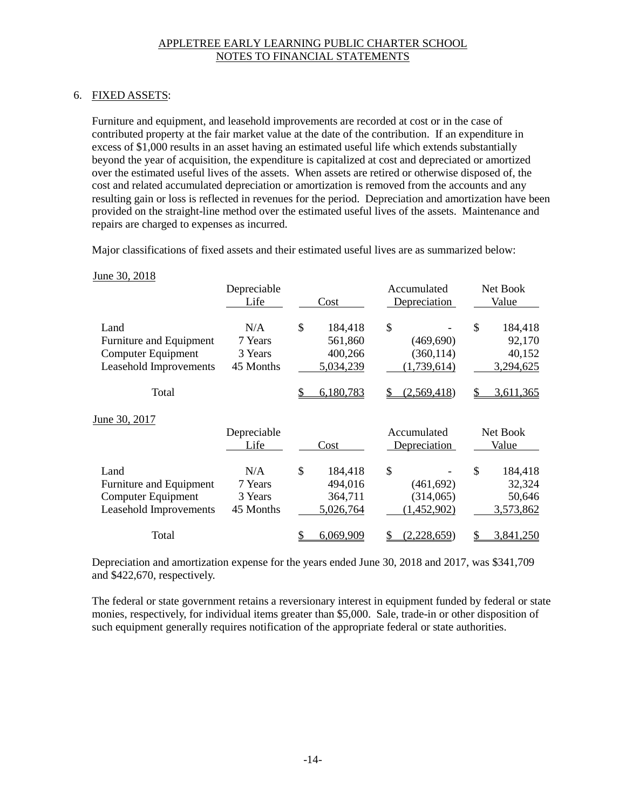# 6. FIXED ASSETS:

Furniture and equipment, and leasehold improvements are recorded at cost or in the case of contributed property at the fair market value at the date of the contribution. If an expenditure in excess of \$1,000 results in an asset having an estimated useful life which extends substantially beyond the year of acquisition, the expenditure is capitalized at cost and depreciated or amortized over the estimated useful lives of the assets. When assets are retired or otherwise disposed of, the cost and related accumulated depreciation or amortization is removed from the accounts and any resulting gain or loss is reflected in revenues for the period. Depreciation and amortization have been provided on the straight-line method over the estimated useful lives of the assets. Maintenance and repairs are charged to expenses as incurred.

Major classifications of fixed assets and their estimated useful lives are as summarized below:

| June 30, 2018                   |                     |                          |                             |                         |
|---------------------------------|---------------------|--------------------------|-----------------------------|-------------------------|
|                                 | Depreciable<br>Life | Cost                     | Accumulated<br>Depreciation | Net Book<br>Value       |
| Land<br>Furniture and Equipment | N/A<br>7 Years      | \$<br>184,418<br>561,860 | \$<br>(469,690)             | \$<br>184,418<br>92,170 |
| <b>Computer Equipment</b>       | 3 Years             | 400,266                  | (360, 114)                  | 40,152                  |
| Leasehold Improvements          | 45 Months           | 5,034,239                | (1,739,614)                 | 3,294,625               |
| Total                           |                     | 6,180,783                | (2,569,418)                 | 3,611,365               |
| June 30, 2017                   |                     |                          |                             |                         |
|                                 | Depreciable<br>Life | Cost                     | Accumulated<br>Depreciation | Net Book<br>Value       |
| Land                            | N/A                 | \$<br>184,418            | \$                          | \$<br>184,418           |
| Furniture and Equipment         | 7 Years             | 494,016                  | (461, 692)                  | 32,324                  |
| <b>Computer Equipment</b>       | 3 Years             | 364,711                  | (314,065)                   | 50,646                  |
| Leasehold Improvements          | 45 Months           | 5,026,764                | (1,452,902)                 | 3,573,862               |
| Total                           |                     | 6,069,909                | 2,228,659)                  | 3,841,250               |

Depreciation and amortization expense for the years ended June 30, 2018 and 2017, was \$341,709 and \$422,670, respectively.

The federal or state government retains a reversionary interest in equipment funded by federal or state monies, respectively, for individual items greater than \$5,000. Sale, trade-in or other disposition of such equipment generally requires notification of the appropriate federal or state authorities.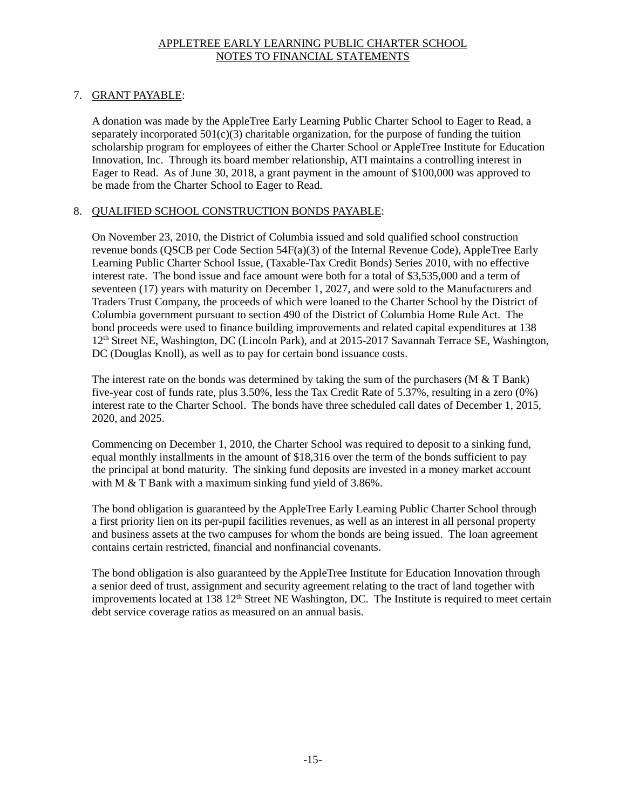# 7. GRANT PAYABLE:

A donation was made by the AppleTree Early Learning Public Charter School to Eager to Read, a separately incorporated  $501(c)(3)$  charitable organization, for the purpose of funding the tuition scholarship program for employees of either the Charter School or AppleTree Institute for Education Innovation, Inc. Through its board member relationship, ATI maintains a controlling interest in Eager to Read. As of June 30, 2018, a grant payment in the amount of \$100,000 was approved to be made from the Charter School to Eager to Read.

# 8. QUALIFIED SCHOOL CONSTRUCTION BONDS PAYABLE:

On November 23, 2010, the District of Columbia issued and sold qualified school construction revenue bonds (QSCB per Code Section 54F(a)(3) of the Internal Revenue Code), AppleTree Early Learning Public Charter School Issue, (Taxable-Tax Credit Bonds) Series 2010, with no effective interest rate. The bond issue and face amount were both for a total of \$3,535,000 and a term of seventeen (17) years with maturity on December 1, 2027, and were sold to the Manufacturers and Traders Trust Company, the proceeds of which were loaned to the Charter School by the District of Columbia government pursuant to section 490 of the District of Columbia Home Rule Act. The bond proceeds were used to finance building improvements and related capital expenditures at 138 12<sup>th</sup> Street NE, Washington, DC (Lincoln Park), and at 2015-2017 Savannah Terrace SE, Washington, DC (Douglas Knoll), as well as to pay for certain bond issuance costs.

The interest rate on the bonds was determined by taking the sum of the purchasers ( $M \& T$  Bank) five-year cost of funds rate, plus 3.50%, less the Tax Credit Rate of 5.37%, resulting in a zero (0%) interest rate to the Charter School. The bonds have three scheduled call dates of December 1, 2015, 2020, and 2025.

Commencing on December 1, 2010, the Charter School was required to deposit to a sinking fund, equal monthly installments in the amount of \$18,316 over the term of the bonds sufficient to pay the principal at bond maturity. The sinking fund deposits are invested in a money market account with M & T Bank with a maximum sinking fund yield of 3.86%.

The bond obligation is guaranteed by the AppleTree Early Learning Public Charter School through a first priority lien on its per-pupil facilities revenues, as well as an interest in all personal property and business assets at the two campuses for whom the bonds are being issued. The loan agreement contains certain restricted, financial and nonfinancial covenants.

The bond obligation is also guaranteed by the AppleTree Institute for Education Innovation through a senior deed of trust, assignment and security agreement relating to the tract of land together with improvements located at 138 12<sup>th</sup> Street NE Washington, DC. The Institute is required to meet certain debt service coverage ratios as measured on an annual basis.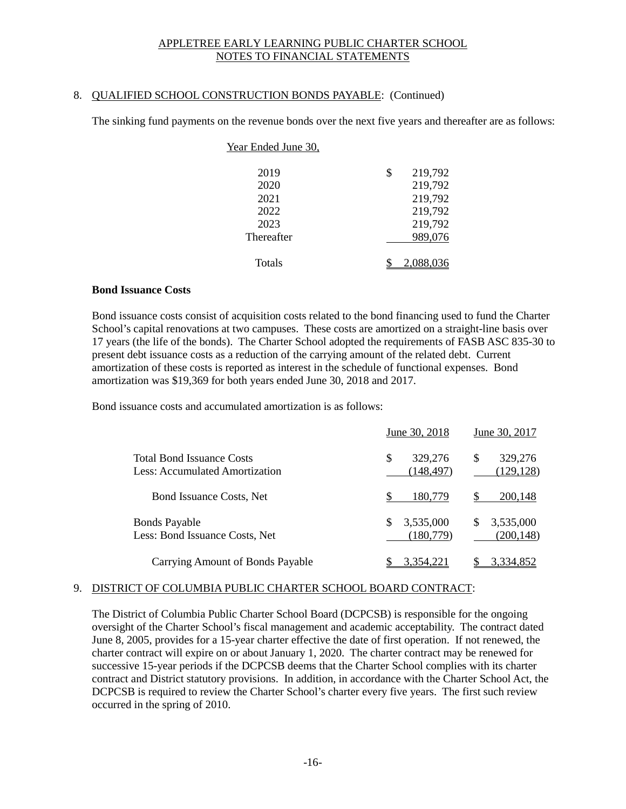# 8. QUALIFIED SCHOOL CONSTRUCTION BONDS PAYABLE: (Continued)

The sinking fund payments on the revenue bonds over the next five years and thereafter are as follows:

| Year Ended June 30, |               |
|---------------------|---------------|
| 2019                | \$<br>219,792 |
| 2020                | 219,792       |
| 2021                | 219,792       |
| 2022                | 219,792       |
| 2023                | 219,792       |
| Thereafter          | 989,076       |
|                     |               |
| Totals              |               |

#### **Bond Issuance Costs**

Bond issuance costs consist of acquisition costs related to the bond financing used to fund the Charter School's capital renovations at two campuses. These costs are amortized on a straight-line basis over 17 years (the life of the bonds). The Charter School adopted the requirements of FASB ASC 835-30 to present debt issuance costs as a reduction of the carrying amount of the related debt. Current amortization of these costs is reported as interest in the schedule of functional expenses. Bond amortization was \$19,369 for both years ended June 30, 2018 and 2017.

Bond issuance costs and accumulated amortization is as follows:

|                                                                    | June 30, 2018              | June 30, 2017                |
|--------------------------------------------------------------------|----------------------------|------------------------------|
| <b>Total Bond Issuance Costs</b><br>Less: Accumulated Amortization | 329,276<br>S<br>(148, 497) | 329,276<br>\$<br>(129, 128)  |
| Bond Issuance Costs, Net                                           | 180,779                    | 200,148                      |
| <b>Bonds Payable</b><br>Less: Bond Issuance Costs, Net             | 3,535,000<br>(180,779)     | 3,535,000<br>S<br>(200, 148) |
| Carrying Amount of Bonds Payable                                   | 3,354,221                  | 3,334,852                    |

#### 9. DISTRICT OF COLUMBIA PUBLIC CHARTER SCHOOL BOARD CONTRACT:

The District of Columbia Public Charter School Board (DCPCSB) is responsible for the ongoing oversight of the Charter School's fiscal management and academic acceptability. The contract dated June 8, 2005, provides for a 15-year charter effective the date of first operation. If not renewed, the charter contract will expire on or about January 1, 2020. The charter contract may be renewed for successive 15-year periods if the DCPCSB deems that the Charter School complies with its charter contract and District statutory provisions. In addition, in accordance with the Charter School Act, the DCPCSB is required to review the Charter School's charter every five years. The first such review occurred in the spring of 2010.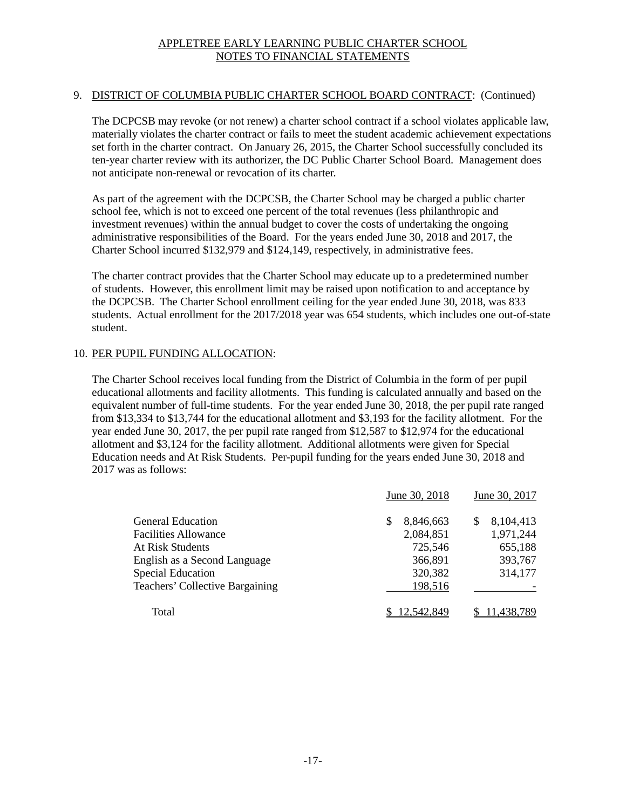## 9. DISTRICT OF COLUMBIA PUBLIC CHARTER SCHOOL BOARD CONTRACT: (Continued)

The DCPCSB may revoke (or not renew) a charter school contract if a school violates applicable law, materially violates the charter contract or fails to meet the student academic achievement expectations set forth in the charter contract. On January 26, 2015, the Charter School successfully concluded its ten-year charter review with its authorizer, the DC Public Charter School Board. Management does not anticipate non-renewal or revocation of its charter.

As part of the agreement with the DCPCSB, the Charter School may be charged a public charter school fee, which is not to exceed one percent of the total revenues (less philanthropic and investment revenues) within the annual budget to cover the costs of undertaking the ongoing administrative responsibilities of the Board. For the years ended June 30, 2018 and 2017, the Charter School incurred \$132,979 and \$124,149, respectively, in administrative fees.

The charter contract provides that the Charter School may educate up to a predetermined number of students. However, this enrollment limit may be raised upon notification to and acceptance by the DCPCSB. The Charter School enrollment ceiling for the year ended June 30, 2018, was 833 students. Actual enrollment for the 2017/2018 year was 654 students, which includes one out-of-state student.

## 10. PER PUPIL FUNDING ALLOCATION:

The Charter School receives local funding from the District of Columbia in the form of per pupil educational allotments and facility allotments. This funding is calculated annually and based on the equivalent number of full-time students. For the year ended June 30, 2018, the per pupil rate ranged from \$13,334 to \$13,744 for the educational allotment and \$3,193 for the facility allotment. For the year ended June 30, 2017, the per pupil rate ranged from \$12,587 to \$12,974 for the educational allotment and \$3,124 for the facility allotment. Additional allotments were given for Special Education needs and At Risk Students. Per-pupil funding for the years ended June 30, 2018 and 2017 was as follows:

|                                 | June 30, 2018 | June 30, 2017  |
|---------------------------------|---------------|----------------|
| General Education               | 8,846,663     | 8,104,413<br>S |
| <b>Facilities Allowance</b>     | 2,084,851     | 1,971,244      |
| At Risk Students                | 725,546       | 655,188        |
| English as a Second Language    | 366,891       | 393,767        |
| <b>Special Education</b>        | 320,382       | 314,177        |
| Teachers' Collective Bargaining | 198,516       |                |
| Total                           | 12.542.849    | 11,438,789     |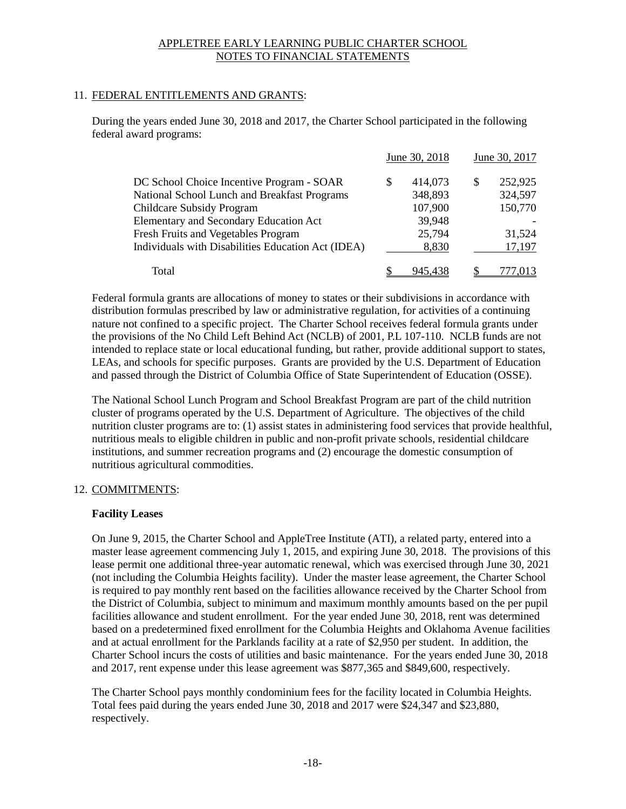## 11. FEDERAL ENTITLEMENTS AND GRANTS:

During the years ended June 30, 2018 and 2017, the Charter School participated in the following federal award programs:

|                                                    |   | June 30, 2018 |   | June 30, 2017 |
|----------------------------------------------------|---|---------------|---|---------------|
| DC School Choice Incentive Program - SOAR          | S | 414,073       | S | 252,925       |
| National School Lunch and Breakfast Programs       |   | 348,893       |   | 324,597       |
| Childcare Subsidy Program                          |   | 107,900       |   | 150,770       |
| Elementary and Secondary Education Act             |   | 39,948        |   |               |
| Fresh Fruits and Vegetables Program                |   | 25,794        |   | 31,524        |
| Individuals with Disabilities Education Act (IDEA) |   | 8,830         |   | 17,197        |
| Total                                              |   | 945.438       |   | 777.013       |

Federal formula grants are allocations of money to states or their subdivisions in accordance with distribution formulas prescribed by law or administrative regulation, for activities of a continuing nature not confined to a specific project. The Charter School receives federal formula grants under the provisions of the No Child Left Behind Act (NCLB) of 2001, P.L 107-110. NCLB funds are not intended to replace state or local educational funding, but rather, provide additional support to states, LEAs, and schools for specific purposes. Grants are provided by the U.S. Department of Education and passed through the District of Columbia Office of State Superintendent of Education (OSSE).

The National School Lunch Program and School Breakfast Program are part of the child nutrition cluster of programs operated by the U.S. Department of Agriculture. The objectives of the child nutrition cluster programs are to: (1) assist states in administering food services that provide healthful, nutritious meals to eligible children in public and non-profit private schools, residential childcare institutions, and summer recreation programs and (2) encourage the domestic consumption of nutritious agricultural commodities.

#### 12. COMMITMENTS:

#### **Facility Leases**

On June 9, 2015, the Charter School and AppleTree Institute (ATI), a related party, entered into a master lease agreement commencing July 1, 2015, and expiring June 30, 2018. The provisions of this lease permit one additional three-year automatic renewal, which was exercised through June 30, 2021 (not including the Columbia Heights facility). Under the master lease agreement, the Charter School is required to pay monthly rent based on the facilities allowance received by the Charter School from the District of Columbia, subject to minimum and maximum monthly amounts based on the per pupil facilities allowance and student enrollment. For the year ended June 30, 2018, rent was determined based on a predetermined fixed enrollment for the Columbia Heights and Oklahoma Avenue facilities and at actual enrollment for the Parklands facility at a rate of \$2,950 per student. In addition, the Charter School incurs the costs of utilities and basic maintenance. For the years ended June 30, 2018 and 2017, rent expense under this lease agreement was \$877,365 and \$849,600, respectively.

The Charter School pays monthly condominium fees for the facility located in Columbia Heights. Total fees paid during the years ended June 30, 2018 and 2017 were \$24,347 and \$23,880, respectively.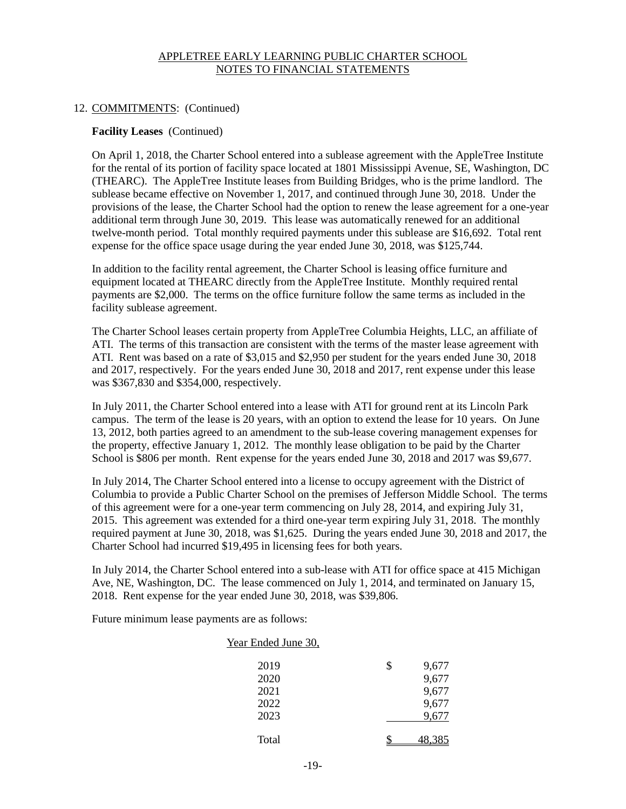## 12. COMMITMENTS: (Continued)

#### **Facility Leases** (Continued)

On April 1, 2018, the Charter School entered into a sublease agreement with the AppleTree Institute for the rental of its portion of facility space located at 1801 Mississippi Avenue, SE, Washington, DC (THEARC). The AppleTree Institute leases from Building Bridges, who is the prime landlord. The sublease became effective on November 1, 2017, and continued through June 30, 2018. Under the provisions of the lease, the Charter School had the option to renew the lease agreement for a one-year additional term through June 30, 2019. This lease was automatically renewed for an additional twelve-month period. Total monthly required payments under this sublease are \$16,692. Total rent expense for the office space usage during the year ended June 30, 2018, was \$125,744.

In addition to the facility rental agreement, the Charter School is leasing office furniture and equipment located at THEARC directly from the AppleTree Institute. Monthly required rental payments are \$2,000. The terms on the office furniture follow the same terms as included in the facility sublease agreement.

The Charter School leases certain property from AppleTree Columbia Heights, LLC, an affiliate of ATI. The terms of this transaction are consistent with the terms of the master lease agreement with ATI. Rent was based on a rate of \$3,015 and \$2,950 per student for the years ended June 30, 2018 and 2017, respectively. For the years ended June 30, 2018 and 2017, rent expense under this lease was \$367,830 and \$354,000, respectively.

In July 2011, the Charter School entered into a lease with ATI for ground rent at its Lincoln Park campus. The term of the lease is 20 years, with an option to extend the lease for 10 years. On June 13, 2012, both parties agreed to an amendment to the sub-lease covering management expenses for the property, effective January 1, 2012. The monthly lease obligation to be paid by the Charter School is \$806 per month. Rent expense for the years ended June 30, 2018 and 2017 was \$9,677.

In July 2014, The Charter School entered into a license to occupy agreement with the District of Columbia to provide a Public Charter School on the premises of Jefferson Middle School. The terms of this agreement were for a one-year term commencing on July 28, 2014, and expiring July 31, 2015. This agreement was extended for a third one-year term expiring July 31, 2018. The monthly required payment at June 30, 2018, was \$1,625. During the years ended June 30, 2018 and 2017, the Charter School had incurred \$19,495 in licensing fees for both years.

In July 2014, the Charter School entered into a sub-lease with ATI for office space at 415 Michigan Ave, NE, Washington, DC. The lease commenced on July 1, 2014, and terminated on January 15, 2018. Rent expense for the year ended June 30, 2018, was \$39,806.

Future minimum lease payments are as follows:

| Year Ended June 30, |             |
|---------------------|-------------|
| 2019                | 9,677<br>\$ |
| 2020                | 9,677       |
| 2021                | 9,677       |
| 2022                | 9,677       |
| 2023                | 9,677       |
| Total               | 48.385      |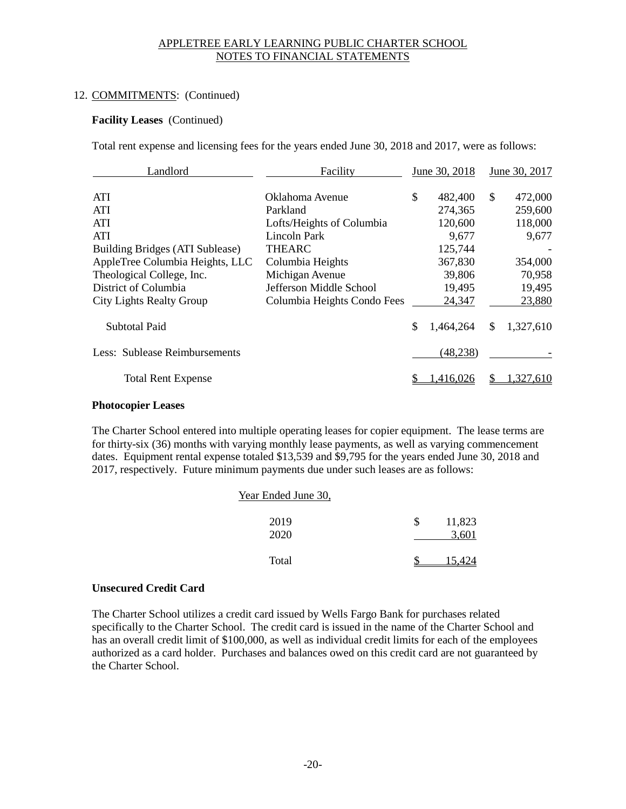# 12. COMMITMENTS: (Continued)

## **Facility Leases** (Continued)

Total rent expense and licensing fees for the years ended June 30, 2018 and 2017, were as follows:

| Landlord                        | Facility                    |    | June 30, 2018 |     | June 30, 2017 |
|---------------------------------|-----------------------------|----|---------------|-----|---------------|
| <b>ATI</b>                      | Oklahoma Avenue             | \$ | 482,400       | \$  | 472,000       |
| <b>ATI</b>                      | Parkland                    |    | 274,365       |     | 259,600       |
| <b>ATI</b>                      | Lofts/Heights of Columbia   |    | 120,600       |     | 118,000       |
| ATI                             | Lincoln Park                |    | 9,677         |     | 9,677         |
| Building Bridges (ATI Sublease) | <b>THEARC</b>               |    | 125,744       |     |               |
| AppleTree Columbia Heights, LLC | Columbia Heights            |    | 367,830       |     | 354,000       |
| Theological College, Inc.       | Michigan Avenue             |    | 39,806        |     | 70,958        |
| District of Columbia            | Jefferson Middle School     |    | 19,495        |     | 19,495        |
| <b>City Lights Realty Group</b> | Columbia Heights Condo Fees |    | 24,347        |     | 23,880        |
| <b>Subtotal Paid</b>            |                             | \$ | 1,464,264     | \$. | 1,327,610     |
| Less: Sublease Reimbursements   |                             |    | (48, 238)     |     |               |
| <b>Total Rent Expense</b>       |                             |    | 1,416,026     |     | 1,327,610     |

#### **Photocopier Leases**

The Charter School entered into multiple operating leases for copier equipment. The lease terms are for thirty-six (36) months with varying monthly lease payments, as well as varying commencement dates. Equipment rental expense totaled \$13,539 and \$9,795 for the years ended June 30, 2018 and 2017, respectively. Future minimum payments due under such leases are as follows:

| Year Ended June 30, |   |        |
|---------------------|---|--------|
| 2019                | S | 11,823 |
| 2020                |   | 3,601  |
| Total               |   |        |

# **Unsecured Credit Card**

The Charter School utilizes a credit card issued by Wells Fargo Bank for purchases related specifically to the Charter School. The credit card is issued in the name of the Charter School and has an overall credit limit of \$100,000, as well as individual credit limits for each of the employees authorized as a card holder. Purchases and balances owed on this credit card are not guaranteed by the Charter School.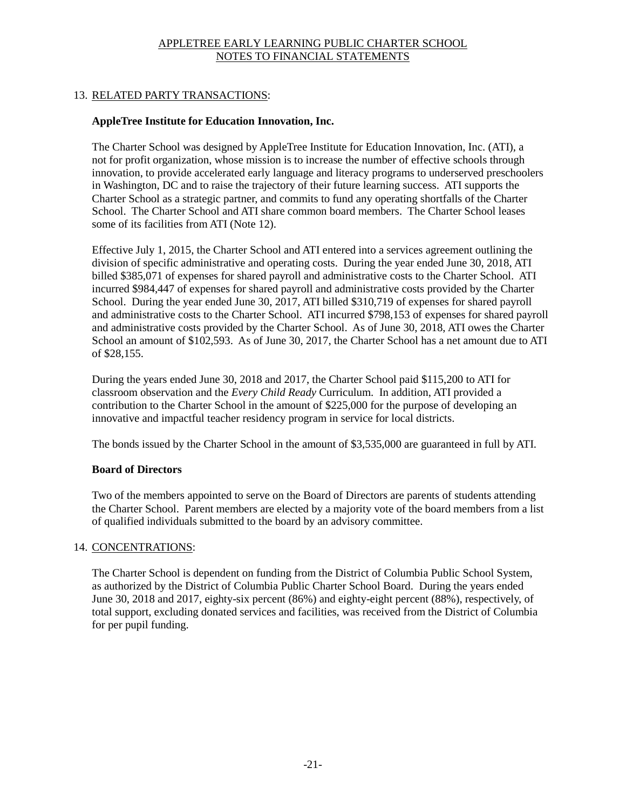# 13. RELATED PARTY TRANSACTIONS:

# **AppleTree Institute for Education Innovation, Inc.**

The Charter School was designed by AppleTree Institute for Education Innovation, Inc. (ATI), a not for profit organization, whose mission is to increase the number of effective schools through innovation, to provide accelerated early language and literacy programs to underserved preschoolers in Washington, DC and to raise the trajectory of their future learning success. ATI supports the Charter School as a strategic partner, and commits to fund any operating shortfalls of the Charter School. The Charter School and ATI share common board members. The Charter School leases some of its facilities from ATI (Note 12).

Effective July 1, 2015, the Charter School and ATI entered into a services agreement outlining the division of specific administrative and operating costs. During the year ended June 30, 2018, ATI billed \$385,071 of expenses for shared payroll and administrative costs to the Charter School. ATI incurred \$984,447 of expenses for shared payroll and administrative costs provided by the Charter School. During the year ended June 30, 2017, ATI billed \$310,719 of expenses for shared payroll and administrative costs to the Charter School. ATI incurred \$798,153 of expenses for shared payroll and administrative costs provided by the Charter School. As of June 30, 2018, ATI owes the Charter School an amount of \$102,593. As of June 30, 2017, the Charter School has a net amount due to ATI of \$28,155.

During the years ended June 30, 2018 and 2017, the Charter School paid \$115,200 to ATI for classroom observation and the *Every Child Ready* Curriculum. In addition, ATI provided a contribution to the Charter School in the amount of \$225,000 for the purpose of developing an innovative and impactful teacher residency program in service for local districts.

The bonds issued by the Charter School in the amount of \$3,535,000 are guaranteed in full by ATI.

# **Board of Directors**

Two of the members appointed to serve on the Board of Directors are parents of students attending the Charter School. Parent members are elected by a majority vote of the board members from a list of qualified individuals submitted to the board by an advisory committee.

#### 14. CONCENTRATIONS:

The Charter School is dependent on funding from the District of Columbia Public School System, as authorized by the District of Columbia Public Charter School Board. During the years ended June 30, 2018 and 2017, eighty-six percent (86%) and eighty-eight percent (88%), respectively, of total support, excluding donated services and facilities, was received from the District of Columbia for per pupil funding.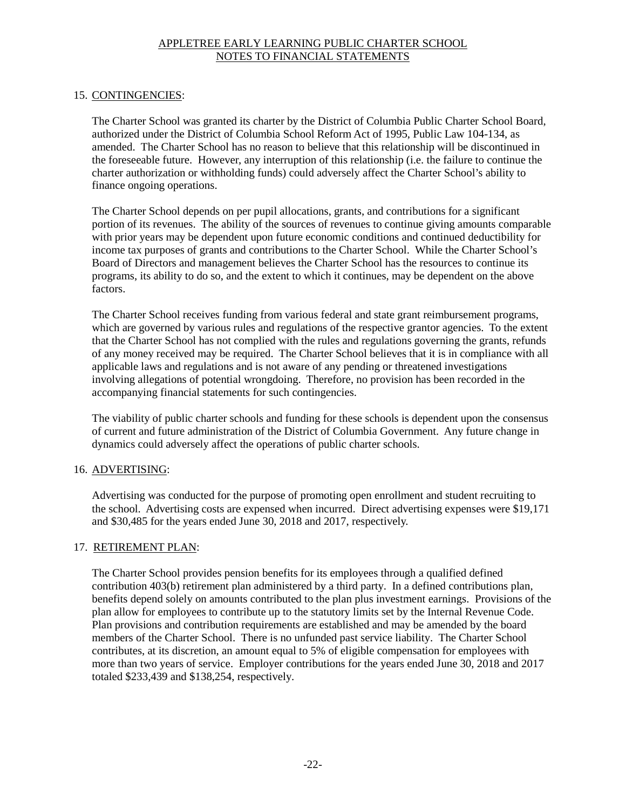## 15. CONTINGENCIES:

The Charter School was granted its charter by the District of Columbia Public Charter School Board, authorized under the District of Columbia School Reform Act of 1995, Public Law 104-134, as amended. The Charter School has no reason to believe that this relationship will be discontinued in the foreseeable future. However, any interruption of this relationship (i.e. the failure to continue the charter authorization or withholding funds) could adversely affect the Charter School's ability to finance ongoing operations.

The Charter School depends on per pupil allocations, grants, and contributions for a significant portion of its revenues. The ability of the sources of revenues to continue giving amounts comparable with prior years may be dependent upon future economic conditions and continued deductibility for income tax purposes of grants and contributions to the Charter School. While the Charter School's Board of Directors and management believes the Charter School has the resources to continue its programs, its ability to do so, and the extent to which it continues, may be dependent on the above factors.

The Charter School receives funding from various federal and state grant reimbursement programs, which are governed by various rules and regulations of the respective grantor agencies. To the extent that the Charter School has not complied with the rules and regulations governing the grants, refunds of any money received may be required. The Charter School believes that it is in compliance with all applicable laws and regulations and is not aware of any pending or threatened investigations involving allegations of potential wrongdoing. Therefore, no provision has been recorded in the accompanying financial statements for such contingencies.

The viability of public charter schools and funding for these schools is dependent upon the consensus of current and future administration of the District of Columbia Government. Any future change in dynamics could adversely affect the operations of public charter schools.

## 16. ADVERTISING:

Advertising was conducted for the purpose of promoting open enrollment and student recruiting to the school. Advertising costs are expensed when incurred. Direct advertising expenses were \$19,171 and \$30,485 for the years ended June 30, 2018 and 2017, respectively.

# 17. RETIREMENT PLAN:

The Charter School provides pension benefits for its employees through a qualified defined contribution 403(b) retirement plan administered by a third party. In a defined contributions plan, benefits depend solely on amounts contributed to the plan plus investment earnings. Provisions of the plan allow for employees to contribute up to the statutory limits set by the Internal Revenue Code. Plan provisions and contribution requirements are established and may be amended by the board members of the Charter School. There is no unfunded past service liability. The Charter School contributes, at its discretion, an amount equal to 5% of eligible compensation for employees with more than two years of service. Employer contributions for the years ended June 30, 2018 and 2017 totaled \$233,439 and \$138,254, respectively.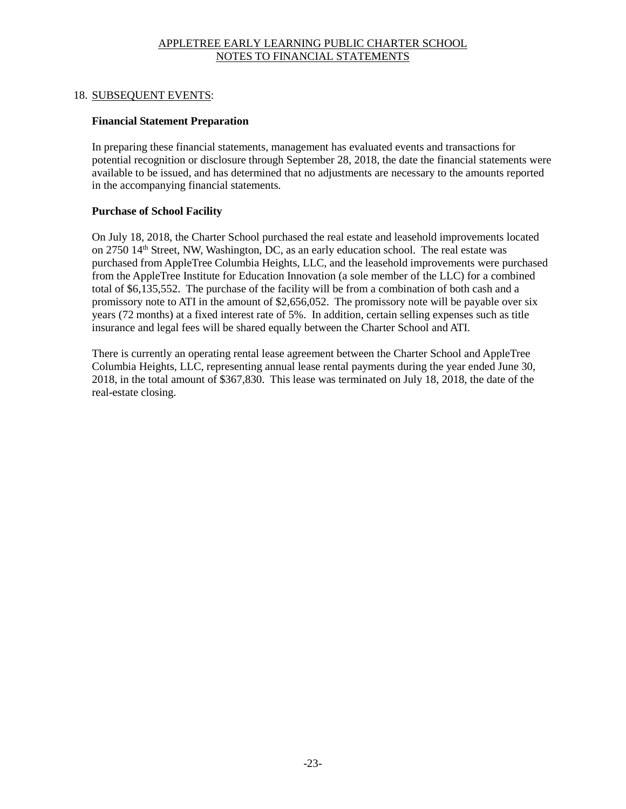## 18. SUBSEQUENT EVENTS:

## **Financial Statement Preparation**

In preparing these financial statements, management has evaluated events and transactions for potential recognition or disclosure through September 28, 2018, the date the financial statements were available to be issued, and has determined that no adjustments are necessary to the amounts reported in the accompanying financial statements.

## **Purchase of School Facility**

On July 18, 2018, the Charter School purchased the real estate and leasehold improvements located on 2750 14<sup>th</sup> Street, NW, Washington, DC, as an early education school. The real estate was purchased from AppleTree Columbia Heights, LLC, and the leasehold improvements were purchased from the AppleTree Institute for Education Innovation (a sole member of the LLC) for a combined total of \$6,135,552. The purchase of the facility will be from a combination of both cash and a promissory note to ATI in the amount of \$2,656,052. The promissory note will be payable over six years (72 months) at a fixed interest rate of 5%. In addition, certain selling expenses such as title insurance and legal fees will be shared equally between the Charter School and ATI.

There is currently an operating rental lease agreement between the Charter School and AppleTree Columbia Heights, LLC, representing annual lease rental payments during the year ended June 30, 2018, in the total amount of \$367,830. This lease was terminated on July 18, 2018, the date of the real-estate closing.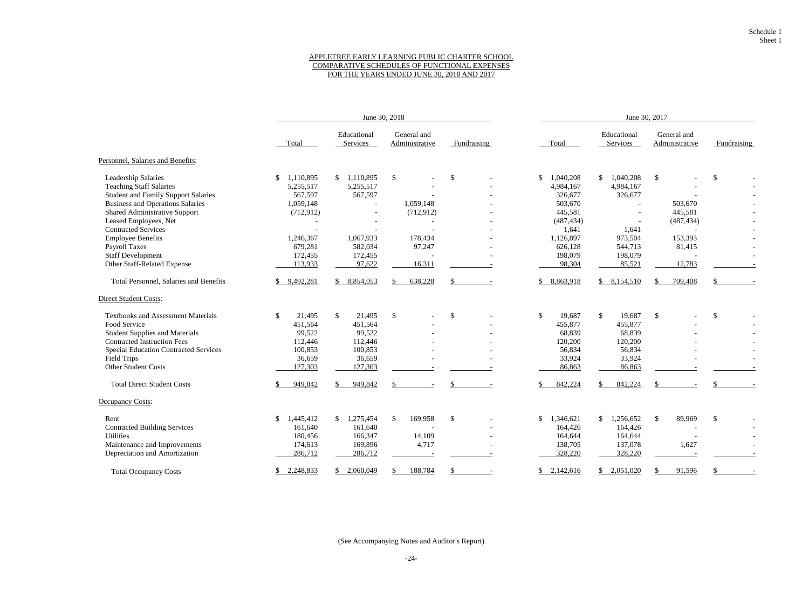#### APPLETREE EARLY LEARNING PUBLIC CHARTER SCHOOL COMPARATIVE SCHEDULES OF FUNCTIONAL EXPENSES FOR THE YEARS ENDED JUNE 30, 2018 AND 2017

|                                              |                            |                             | June 30, 2018                 |               |                        | June 30, 2017               |                               |             |  |  |  |  |
|----------------------------------------------|----------------------------|-----------------------------|-------------------------------|---------------|------------------------|-----------------------------|-------------------------------|-------------|--|--|--|--|
|                                              | Total                      | Educational<br>Services     | General and<br>Administrative | Fundraising   | Total                  | Educational<br>Services     | General and<br>Administrative | Fundraising |  |  |  |  |
| Personnel, Salaries and Benefits:            |                            |                             |                               |               |                        |                             |                               |             |  |  |  |  |
| Leadership Salaries                          | <sup>\$</sup><br>1,110,895 | 1,110,895<br>$\mathbb{S}^-$ | <sup>\$</sup>                 | $\mathcal{S}$ | 1,040,208<br>\$.       | $\mathbb{S}$<br>1,040,208   | $\mathcal{S}$                 | \$          |  |  |  |  |
| <b>Teaching Staff Salaries</b>               | 5,255,517                  | 5,255,517                   |                               |               | 4,984,167              | 4,984,167                   |                               |             |  |  |  |  |
| <b>Student and Family Support Salaries</b>   | 567,597                    | 567,597                     |                               |               | 326,677                | 326,677                     |                               |             |  |  |  |  |
| <b>Business and Operations Salaries</b>      | 1,059,148                  |                             | 1,059,148                     |               | 503,670                |                             | 503,670                       |             |  |  |  |  |
| Shared Administrative Support                | (712, 912)                 |                             | (712, 912)                    |               | 445,581                |                             | 445,581                       |             |  |  |  |  |
| Leased Employees, Net                        |                            |                             |                               |               | (487, 434)             |                             | (487, 434)                    |             |  |  |  |  |
| <b>Contracted Services</b>                   |                            |                             |                               |               | 1,641                  | 1,641                       |                               |             |  |  |  |  |
| <b>Employee Benefits</b>                     | 1,246,367                  | 1,067,933                   | 178,434                       |               | 1,126,897              | 973,504                     | 153,393                       |             |  |  |  |  |
| Payroll Taxes                                | 679,281                    | 582,034                     | 97,247                        |               | 626,128                | 544,713                     | 81,415                        |             |  |  |  |  |
| <b>Staff Development</b>                     | 172,455                    | 172,455                     |                               |               | 198,079                | 198,079                     |                               |             |  |  |  |  |
| Other Staff-Related Expense                  | 113,933                    | 97,622                      | 16,311                        |               | 98,304                 | 85,521                      | 12,783                        |             |  |  |  |  |
| Total Personnel, Salaries and Benefits       | 9,492,281                  | \$8,854,053                 | 638,228                       |               | 8,863,918              | \$8,154,510                 | 709,408                       |             |  |  |  |  |
| Direct Student Costs:                        |                            |                             |                               |               |                        |                             |                               |             |  |  |  |  |
| <b>Textbooks and Assessment Materials</b>    | $\mathbb{S}$<br>21,495     | $\mathbb{S}$<br>21,495      | $\mathcal{S}$                 | \$            | $\mathbb{S}$<br>19,687 | \$<br>19,687                | $\boldsymbol{\mathsf{S}}$     | \$          |  |  |  |  |
| Food Service                                 | 451,564                    | 451,564                     |                               |               | 455,877                | 455,877                     |                               |             |  |  |  |  |
| <b>Student Supplies and Materials</b>        | 99,522                     | 99,522                      |                               |               | 68,839                 | 68,839                      |                               |             |  |  |  |  |
| <b>Contracted Instruction Fees</b>           | 112,446                    | 112,446                     |                               |               | 120,200                | 120,200                     |                               |             |  |  |  |  |
| <b>Special Education Contracted Services</b> | 100,853                    | 100,853                     |                               |               | 56,834                 | 56,834                      |                               |             |  |  |  |  |
| <b>Field Trips</b>                           | 36,659                     | 36,659                      |                               |               | 33,924                 | 33,924                      |                               |             |  |  |  |  |
| Other Student Costs                          | 127,303                    | 127,303                     |                               |               | 86,863                 | 86,863                      |                               |             |  |  |  |  |
| <b>Total Direct Student Costs</b>            | 949,842                    | 949,842                     |                               |               | 842,224                | 842,224                     |                               |             |  |  |  |  |
| Occupancy Costs:                             |                            |                             |                               |               |                        |                             |                               |             |  |  |  |  |
| Rent                                         | 1,445,412<br><sup>\$</sup> | 1,275,454<br>$\mathbb{S}$   | 169,958<br><sup>\$</sup>      | \$            | 1,346,621<br>\$        | $\mathbb{S}^-$<br>1,256,652 | $\mathbb{S}$<br>89,969        | \$          |  |  |  |  |
| <b>Contracted Building Services</b>          | 161,640                    | 161,640                     |                               |               | 164,426                | 164,426                     |                               |             |  |  |  |  |
| Utilities                                    | 180,456                    | 166,347                     | 14,109                        |               | 164,644                | 164,644                     |                               |             |  |  |  |  |
| Maintenance and Improvements                 | 174,613                    | 169,896                     | 4,717                         |               | 138,705                | 137,078                     | 1,627                         |             |  |  |  |  |
| Depreciation and Amortization                | 286,712                    | 286,712                     |                               |               | 328,220                | 328,220                     |                               |             |  |  |  |  |
| <b>Total Occupancy Costs</b>                 | 2,248,833                  | 2,060,049                   | 188,784                       |               | \$2,142,616            | \$2,051,020                 | 91,596                        |             |  |  |  |  |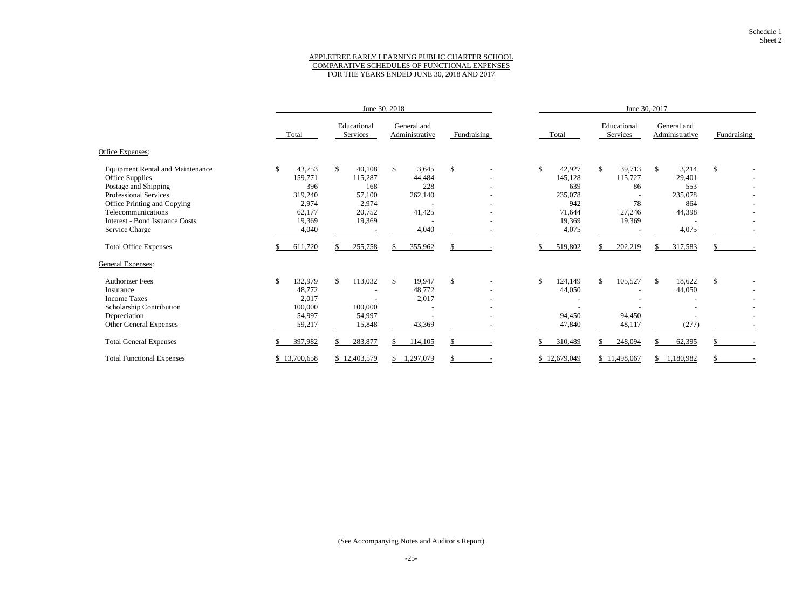#### APPLETREE EARLY LEARNING PUBLIC CHARTER SCHOOL COMPARATIVE SCHEDULES OF FUNCTIONAL EXPENSES FOR THE YEARS ENDED JUNE 30, 2018 AND 2017

|                                         |               |                         | June 30, 2018                 | June 30, 2017 |                         |                         |                               |              |  |  |  |  |  |
|-----------------------------------------|---------------|-------------------------|-------------------------------|---------------|-------------------------|-------------------------|-------------------------------|--------------|--|--|--|--|--|
|                                         | Total         | Educational<br>Services | General and<br>Administrative | Fundraising   | Total                   | Educational<br>Services | General and<br>Administrative | Fundraising  |  |  |  |  |  |
| Office Expenses:                        |               |                         |                               |               |                         |                         |                               |              |  |  |  |  |  |
| <b>Equipment Rental and Maintenance</b> | \$<br>43,753  | \$<br>40,108            | $\mathbb{S}$<br>3,645         | $\mathbb{S}$  | $\mathbb{S}$<br>42,927  | $\mathbb{S}$<br>39,713  | $\mathbb{S}$<br>3,214         | $\mathbb{S}$ |  |  |  |  |  |
| <b>Office Supplies</b>                  | 159,771       | 115,287                 | 44,484                        |               | 145,128                 | 115,727                 | 29,401                        |              |  |  |  |  |  |
| Postage and Shipping                    | 396           | 168                     | 228                           |               | 639                     | 86                      | 553                           | $\sim$       |  |  |  |  |  |
| <b>Professional Services</b>            | 319,240       | 57,100                  | 262,140                       |               | 235,078                 |                         | 235,078                       |              |  |  |  |  |  |
| Office Printing and Copying             | 2,974         | 2,974                   |                               |               | 942                     | 78                      | 864                           |              |  |  |  |  |  |
| Telecommunications                      | 62,177        | 20,752                  | 41,425                        |               | 71,644                  | 27,246                  | 44,398                        |              |  |  |  |  |  |
| <b>Interest - Bond Issuance Costs</b>   | 19,369        | 19,369                  |                               |               | 19,369                  | 19,369                  |                               |              |  |  |  |  |  |
| Service Charge                          | 4,040         |                         | 4,040                         |               | 4,075                   |                         | 4,075                         |              |  |  |  |  |  |
| <b>Total Office Expenses</b>            | 611,720       | 255,758                 | 355,962<br>\$                 | \$            | 519,802                 | 202,219<br>S.           | 317,583<br>\$                 |              |  |  |  |  |  |
| General Expenses:                       |               |                         |                               |               |                         |                         |                               |              |  |  |  |  |  |
| <b>Authorizer Fees</b>                  | 132,979<br>\$ | 113,032<br>\$           | $\mathbb{S}$<br>19,947        | $\mathcal{S}$ | 124,149<br>$\mathbb{S}$ | 105,527<br>$\mathbb{S}$ | $\mathbb{S}$<br>18,622        | $\mathbb{S}$ |  |  |  |  |  |
| Insurance                               | 48,772        |                         | 48,772                        |               | 44,050                  |                         | 44,050                        |              |  |  |  |  |  |
| <b>Income Taxes</b>                     | 2,017         |                         | 2,017                         |               |                         |                         |                               | $\sim$       |  |  |  |  |  |
| Scholarship Contribution                | 100,000       | 100,000                 |                               |               |                         |                         |                               | $\sim$       |  |  |  |  |  |
| Depreciation                            | 54,997        | 54,997                  |                               |               | 94,450                  | 94,450                  |                               |              |  |  |  |  |  |
| Other General Expenses                  | 59,217        | 15,848                  | 43,369                        |               | 47,840                  | 48,117                  | (277)                         |              |  |  |  |  |  |
| <b>Total General Expenses</b>           | 397,982       | 283,877                 | 114,105                       |               | 310,489                 | 248,094                 | 62,395                        |              |  |  |  |  |  |
| <b>Total Functional Expenses</b>        | \$13,700,658  | \$12,403,579            | 1,297,079<br>\$.              |               | \$12,679,049            | \$11,498,067            | 1,180,982<br>\$               |              |  |  |  |  |  |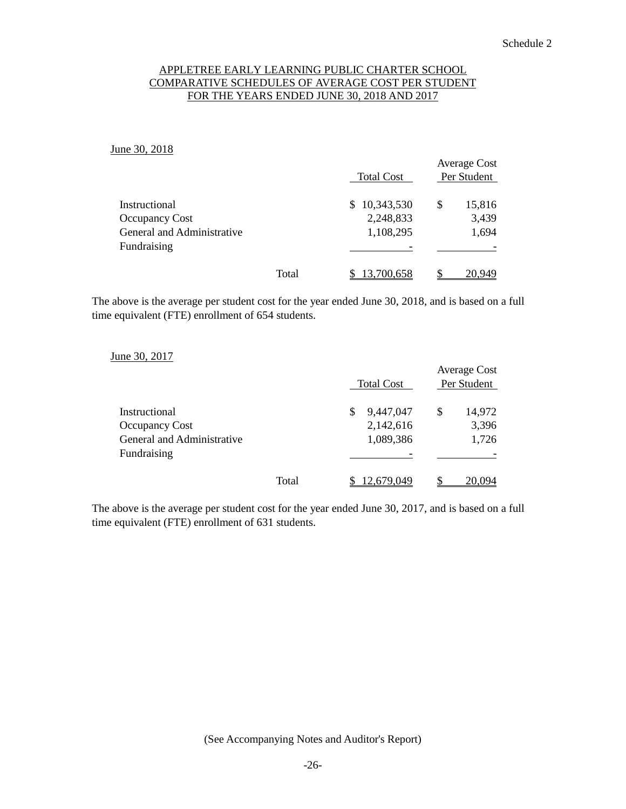## APPLETREE EARLY LEARNING PUBLIC CHARTER SCHOOL COMPARATIVE SCHEDULES OF AVERAGE COST PER STUDENT FOR THE YEARS ENDED JUNE 30, 2018 AND 2017

June 30, 2018

|                            |       | <b>Total Cost</b> | <b>Average Cost</b><br>Per Student |
|----------------------------|-------|-------------------|------------------------------------|
| Instructional              |       | 10,343,530<br>S.  | \$<br>15,816                       |
| <b>Occupancy Cost</b>      |       | 2,248,833         | 3,439                              |
| General and Administrative |       | 1,108,295         | 1,694                              |
| Fundraising                |       |                   |                                    |
|                            | Total | 13,700,658        | 20,949                             |

The above is the average per student cost for the year ended June 30, 2018, and is based on a full time equivalent (FTE) enrollment of 654 students.

#### June 30, 2017

|                            |       | <b>Total Cost</b> | <b>Average Cost</b><br>Per Student |
|----------------------------|-------|-------------------|------------------------------------|
| Instructional              |       | 9,447,047         | 14,972<br>S                        |
| <b>Occupancy Cost</b>      |       | 2,142,616         | 3,396                              |
| General and Administrative |       | 1,089,386         | 1,726                              |
| Fundraising                |       |                   |                                    |
|                            | Total | 4.679,049         |                                    |

The above is the average per student cost for the year ended June 30, 2017, and is based on a full time equivalent (FTE) enrollment of 631 students.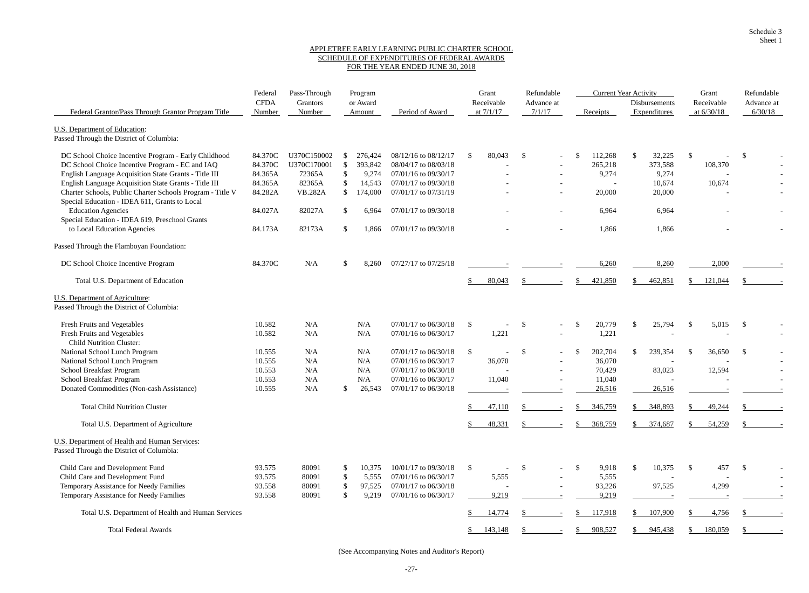#### APPLETREE EARLY LEARNING PUBLIC CHARTER SCHOOL SCHEDULE OF EXPENDITURES OF FEDERAL AWARDS FOR THE YEAR ENDED JUNE 30, 2018

|                                                                                    | Federal     | Pass-Through   | Program  |          |                                              | Grant         |             | Refundable    |                          |               |          | <b>Current Year Activity</b><br>Disbursements |              | Grant<br>Receivable |              | Refundable<br>Advance at |  |
|------------------------------------------------------------------------------------|-------------|----------------|----------|----------|----------------------------------------------|---------------|-------------|---------------|--------------------------|---------------|----------|-----------------------------------------------|--------------|---------------------|--------------|--------------------------|--|
|                                                                                    | <b>CFDA</b> | Grantors       |          | or Award |                                              | Receivable    |             | Advance at    |                          |               |          |                                               |              |                     |              |                          |  |
| Federal Grantor/Pass Through Grantor Program Title                                 | Number      | Number         |          | Amount   | Period of Award                              |               | at $7/1/17$ | 7/1/17        |                          |               | Receipts |                                               | Expenditures |                     | at $6/30/18$ | 6/30/18                  |  |
| U.S. Department of Education:                                                      |             |                |          |          |                                              |               |             |               |                          |               |          |                                               |              |                     |              |                          |  |
| Passed Through the District of Columbia:                                           |             |                |          |          |                                              |               |             |               |                          |               |          |                                               |              |                     |              |                          |  |
| DC School Choice Incentive Program - Early Childhood                               | 84.370C     | U370C150002    |          | 276,424  | 08/12/16 to 08/12/17                         | \$.           | 80,043      | -S            | $\blacksquare$           | -8            | 112,268  | -\$                                           | 32,225       | \$                  |              | - \$                     |  |
| DC School Choice Incentive Program - EC and IAQ                                    | 84.370C     | U370C170001    |          | 393,842  | 08/04/17 to 08/03/18                         |               |             |               |                          |               | 265,218  |                                               | 373,588      |                     | 108,370      |                          |  |
| English Language Acquisition State Grants - Title III                              | 84.365A     | 72365A         | \$       | 9,274    | 07/01/16 to 09/30/17                         |               |             |               | $\sim$                   |               | 9,274    |                                               | 9,274        |                     |              |                          |  |
| English Language Acquisition State Grants - Title III                              | 84.365A     | 82365A         | \$       | 14,543   | 07/01/17 to 09/30/18                         |               |             |               |                          |               |          |                                               | 10,674       |                     | 10,674       |                          |  |
| Charter Schools, Public Charter Schools Program - Title V                          | 84.282A     | <b>VB.282A</b> | \$       | 174,000  | 07/01/17 to 07/31/19                         |               |             |               |                          |               | 20,000   |                                               | 20,000       |                     |              |                          |  |
| Special Education - IDEA 611, Grants to Local                                      |             |                |          |          |                                              |               |             |               |                          |               |          |                                               |              |                     |              |                          |  |
| <b>Education Agencies</b>                                                          | 84.027A     | 82027A         | \$       | 6,964    | 07/01/17 to 09/30/18                         |               |             |               |                          |               | 6,964    |                                               | 6,964        |                     |              |                          |  |
| Special Education - IDEA 619, Preschool Grants                                     |             |                |          |          |                                              |               |             |               |                          |               |          |                                               |              |                     |              |                          |  |
| to Local Education Agencies                                                        | 84.173A     | 82173A         | \$       | 1,866    | 07/01/17 to 09/30/18                         |               |             |               |                          |               | 1,866    |                                               | 1,866        |                     |              |                          |  |
|                                                                                    |             |                |          |          |                                              |               |             |               |                          |               |          |                                               |              |                     |              |                          |  |
| Passed Through the Flamboyan Foundation:                                           |             |                |          |          |                                              |               |             |               |                          |               |          |                                               |              |                     |              |                          |  |
| DC School Choice Incentive Program                                                 | 84.370C     | N/A            | \$       | 8,260    | 07/27/17 to 07/25/18                         |               |             |               |                          |               | 6,260    |                                               | 8,260        |                     | 2,000        |                          |  |
|                                                                                    |             |                |          |          |                                              |               |             |               |                          |               |          |                                               |              |                     |              |                          |  |
| Total U.S. Department of Education                                                 |             |                |          |          |                                              |               | 80,043      |               |                          |               | 421,850  |                                               | 462,851      |                     | 121,044      |                          |  |
| U.S. Department of Agriculture:                                                    |             |                |          |          |                                              |               |             |               |                          |               |          |                                               |              |                     |              |                          |  |
| Passed Through the District of Columbia:                                           |             |                |          |          |                                              |               |             |               |                          |               |          |                                               |              |                     |              |                          |  |
| Fresh Fruits and Vegetables                                                        | 10.582      | N/A            |          | N/A      | 07/01/17 to 06/30/18                         | \$            |             | $\mathbb{S}$  | $\blacksquare$           | \$            | 20,779   | <sup>\$</sup>                                 | 25,794       | $\mathcal{S}$       | 5,015        | \$                       |  |
| Fresh Fruits and Vegetables                                                        | 10.582      | N/A            |          | N/A      | 07/01/16 to 06/30/17                         |               | 1,221       |               |                          |               | 1,221    |                                               |              |                     |              |                          |  |
| <b>Child Nutrition Cluster:</b>                                                    |             |                |          |          |                                              |               |             |               |                          |               |          |                                               |              |                     |              |                          |  |
| National School Lunch Program                                                      | 10.555      | N/A            |          | N/A      | 07/01/17 to 06/30/18                         | \$            |             | $\frac{1}{2}$ | $\overline{\phantom{a}}$ | <sup>\$</sup> | 202,704  | -S                                            | 239,354      | -S                  | 36,650       | -\$                      |  |
| National School Lunch Program                                                      | 10.555      | N/A            |          | N/A      | 07/01/16 to 06/30/17                         |               | 36,070      |               |                          |               | 36,070   |                                               |              |                     |              |                          |  |
| School Breakfast Program                                                           | 10.553      | N/A            |          | N/A      | 07/01/17 to 06/30/18                         |               |             |               |                          |               | 70,429   |                                               | 83,023       |                     | 12,594       |                          |  |
| School Breakfast Program                                                           | 10.553      | N/A            |          | N/A      | 07/01/16 to 06/30/17                         |               | 11,040      |               |                          |               | 11,040   |                                               |              |                     |              |                          |  |
| Donated Commodities (Non-cash Assistance)                                          | 10.555      | N/A            | \$       | 26,543   | 07/01/17 to 06/30/18                         |               |             |               |                          |               | 26,516   |                                               | 26,516       |                     |              |                          |  |
|                                                                                    |             |                |          |          |                                              |               |             |               |                          |               |          |                                               |              |                     |              |                          |  |
| <b>Total Child Nutrition Cluster</b>                                               |             |                |          |          |                                              |               | 47,110      |               |                          |               | 346,759  |                                               | 348,893      |                     | 49,244       |                          |  |
| Total U.S. Department of Agriculture                                               |             |                |          |          |                                              |               | 48,331      |               |                          | $\frac{1}{2}$ | 368,759  |                                               | 374,687      |                     | 54,259       |                          |  |
| <b>U.S. Department of Health and Human Services:</b>                               |             |                |          |          |                                              |               |             |               |                          |               |          |                                               |              |                     |              |                          |  |
| Passed Through the District of Columbia:                                           |             |                |          |          |                                              |               |             |               |                          |               |          |                                               |              |                     |              |                          |  |
| Child Care and Development Fund                                                    | 93.575      | 80091          | \$       | 10,375   | 10/01/17 to 09/30/18                         | $\frac{1}{2}$ |             | $\frac{1}{2}$ | $\blacksquare$           | $\frac{1}{2}$ | 9,918    | <sup>\$</sup>                                 | 10,375       | $\mathcal{S}$       | 457          | \$                       |  |
| Child Care and Development Fund                                                    | 93.575      | 80091          | \$       |          | 07/01/16 to 06/30/17                         |               |             |               |                          |               | 5,555    |                                               |              |                     |              |                          |  |
|                                                                                    |             |                |          | 5,555    |                                              |               | 5,555       |               |                          |               |          |                                               |              |                     |              |                          |  |
| Temporary Assistance for Needy Families<br>Temporary Assistance for Needy Families | 93.558      | 80091          | \$<br>\$ | 97,525   | 07/01/17 to 06/30/18<br>07/01/16 to 06/30/17 |               |             |               |                          |               | 93,226   |                                               | 97,525       |                     | 4,299        |                          |  |
|                                                                                    | 93.558      | 80091          |          | 9,219    |                                              |               | 9,219       |               |                          |               | 9,219    |                                               |              |                     |              |                          |  |
| Total U.S. Department of Health and Human Services                                 |             |                |          |          |                                              |               | 14,774      |               |                          | \$            | 117,918  |                                               | 107,900      |                     | 4,756        |                          |  |
| <b>Total Federal Awards</b>                                                        |             |                |          |          |                                              |               | 143,148     |               |                          |               | 908,527  |                                               | 945,438      |                     | 180,059      |                          |  |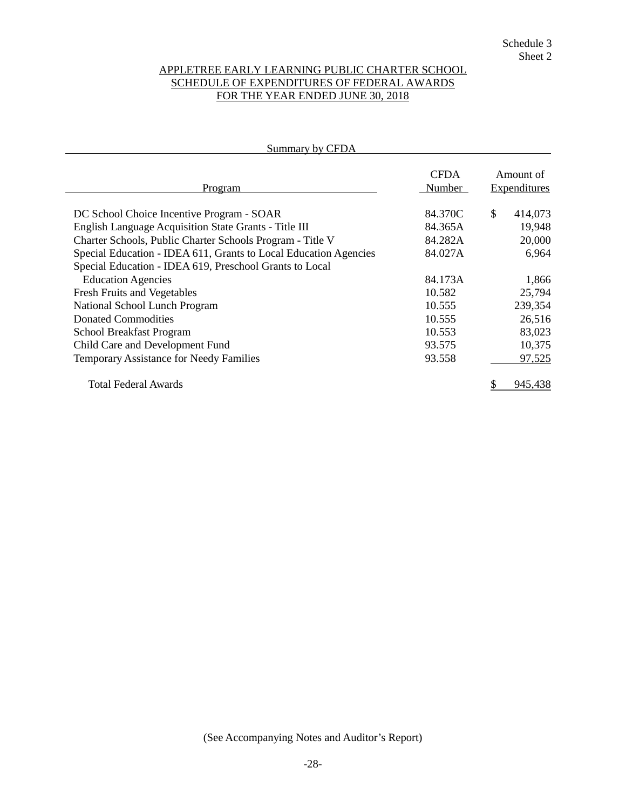## APPLETREE EARLY LEARNING PUBLIC CHARTER SCHOOL SCHEDULE OF EXPENDITURES OF FEDERAL AWARDS FOR THE YEAR ENDED JUNE 30, 2018

| Summary by CFDA                                                  |                       |                                  |
|------------------------------------------------------------------|-----------------------|----------------------------------|
| Program                                                          | <b>CFDA</b><br>Number | Amount of<br><b>Expenditures</b> |
| DC School Choice Incentive Program - SOAR                        | 84.370C               | \$<br>414,073                    |
| English Language Acquisition State Grants - Title III            | 84.365A               | 19,948                           |
| Charter Schools, Public Charter Schools Program - Title V        | 84.282A               | 20,000                           |
| Special Education - IDEA 611, Grants to Local Education Agencies | 84.027A               | 6.964                            |
| Special Education - IDEA 619, Preschool Grants to Local          |                       |                                  |
| <b>Education Agencies</b>                                        | 84.173A               | 1,866                            |
| Fresh Fruits and Vegetables                                      | 10.582                | 25,794                           |
| National School Lunch Program                                    | 10.555                | 239,354                          |
| Donated Commodities                                              | 10.555                | 26,516                           |
| School Breakfast Program                                         | 10.553                | 83,023                           |
| Child Care and Development Fund                                  | 93.575                | 10,375                           |
| Temporary Assistance for Needy Families                          | 93.558                | 97,525                           |
| <b>Total Federal Awards</b>                                      |                       | 945,438                          |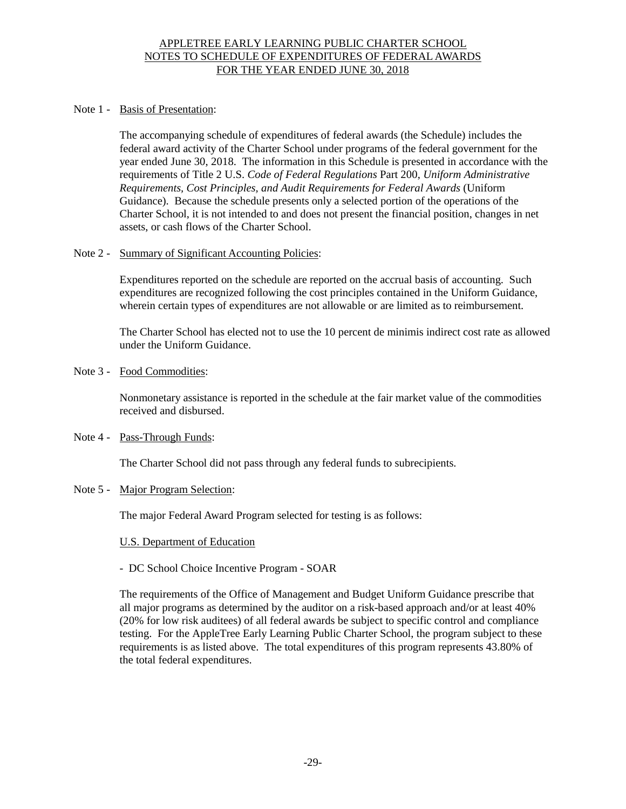## APPLETREE EARLY LEARNING PUBLIC CHARTER SCHOOL NOTES TO SCHEDULE OF EXPENDITURES OF FEDERAL AWARDS FOR THE YEAR ENDED JUNE 30, 2018

#### Note 1 - Basis of Presentation:

The accompanying schedule of expenditures of federal awards (the Schedule) includes the federal award activity of the Charter School under programs of the federal government for the year ended June 30, 2018. The information in this Schedule is presented in accordance with the requirements of Title 2 U.S. *Code of Federal Regulations* Part 200, *Uniform Administrative Requirements, Cost Principles, and Audit Requirements for Federal Awards* (Uniform Guidance). Because the schedule presents only a selected portion of the operations of the Charter School, it is not intended to and does not present the financial position, changes in net assets, or cash flows of the Charter School.

#### Note 2 - Summary of Significant Accounting Policies:

Expenditures reported on the schedule are reported on the accrual basis of accounting. Such expenditures are recognized following the cost principles contained in the Uniform Guidance, wherein certain types of expenditures are not allowable or are limited as to reimbursement.

The Charter School has elected not to use the 10 percent de minimis indirect cost rate as allowed under the Uniform Guidance.

## Note 3 - Food Commodities:

Nonmonetary assistance is reported in the schedule at the fair market value of the commodities received and disbursed.

#### Note 4 - Pass-Through Funds:

The Charter School did not pass through any federal funds to subrecipients.

#### Note 5 - Major Program Selection:

The major Federal Award Program selected for testing is as follows:

#### U.S. Department of Education

# - DC School Choice Incentive Program - SOAR

The requirements of the Office of Management and Budget Uniform Guidance prescribe that all major programs as determined by the auditor on a risk-based approach and/or at least 40% (20% for low risk auditees) of all federal awards be subject to specific control and compliance testing. For the AppleTree Early Learning Public Charter School, the program subject to these requirements is as listed above. The total expenditures of this program represents 43.80% of the total federal expenditures.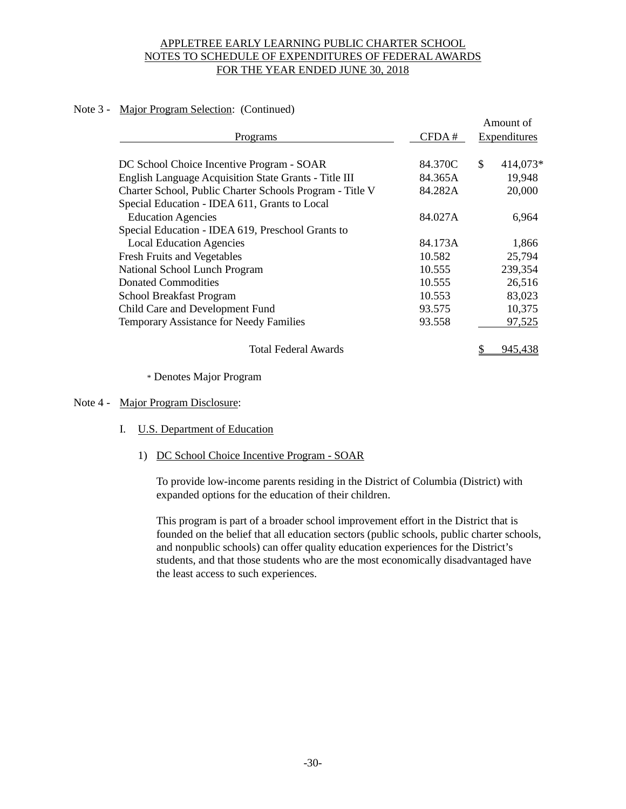#### APPLETREE EARLY LEARNING PUBLIC CHARTER SCHOOL NOTES TO SCHEDULE OF EXPENDITURES OF FEDERAL AWARDS FOR THE YEAR ENDED JUNE 30, 2018

## Note 3 - Major Program Selection: (Continued)

|                                                          |         | Amount of      |
|----------------------------------------------------------|---------|----------------|
| Programs                                                 | CFDA #  | Expenditures   |
|                                                          |         |                |
| DC School Choice Incentive Program - SOAR                | 84.370C | \$<br>414,073* |
| English Language Acquisition State Grants - Title III    | 84.365A | 19,948         |
| Charter School, Public Charter Schools Program - Title V | 84.282A | 20,000         |
| Special Education - IDEA 611, Grants to Local            |         |                |
| <b>Education Agencies</b>                                | 84.027A | 6,964          |
| Special Education - IDEA 619, Preschool Grants to        |         |                |
| <b>Local Education Agencies</b>                          | 84.173A | 1,866          |
| <b>Fresh Fruits and Vegetables</b>                       | 10.582  | 25,794         |
| National School Lunch Program                            | 10.555  | 239,354        |
| Donated Commodities                                      | 10.555  | 26,516         |
| School Breakfast Program                                 | 10.553  | 83,023         |
| Child Care and Development Fund                          | 93.575  | 10,375         |
| Temporary Assistance for Needy Families                  | 93.558  | 97,525         |
| <b>Total Federal Awards</b>                              |         | \$<br>945.438  |

\* Denotes Major Program

#### Note 4 - Major Program Disclosure:

- I. U.S. Department of Education
	- 1) DC School Choice Incentive Program SOAR

To provide low-income parents residing in the District of Columbia (District) with expanded options for the education of their children.

This program is part of a broader school improvement effort in the District that is founded on the belief that all education sectors (public schools, public charter schools, and nonpublic schools) can offer quality education experiences for the District's students, and that those students who are the most economically disadvantaged have the least access to such experiences.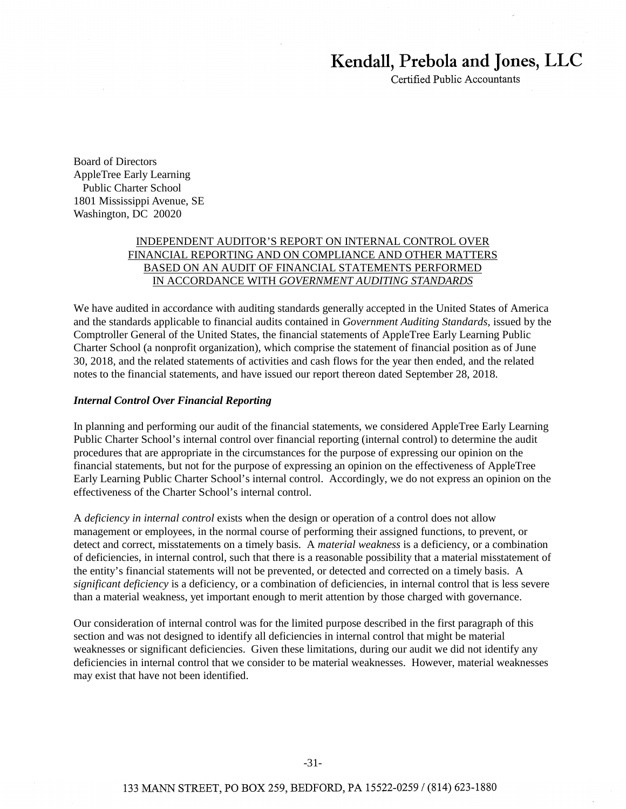# **Kendall, Prebola and Jones, LLC**

Certified Public Accountants

Board of Directors AppleTree Early Learning Public Charter School 1801 Mississippi Avenue, SE Washington, DC 20020

## INDEPENDENT AUDITOR'S REPORT ON INTERNAL CONTROL OVER FINANCIAL REPORTING AND ON COMPLIANCE AND OTHER MATTERS BASED ON AN AUDIT OF FINANCIAL STATEMENTS PERFORMED IN ACCORDANCE WITH *GOVERNMENT AUDITING STANDARDS*

We have audited in accordance with auditing standards generally accepted in the United States of America and the standards applicable to financial audits contained in *Government Auditing Standards*, issued by the Comptroller General of the United States, the financial statements of AppleTree Early Learning Public Charter School (a nonprofit organization), which comprise the statement of financial position as of June 30, 2018, and the related statements of activities and cash flows for the year then ended, and the related notes to the financial statements, and have issued our report thereon dated September 28, 2018.

#### *Internal Control Over Financial Reporting*

In planning and performing our audit of the financial statements, we considered AppleTree Early Learning Public Charter School's internal control over financial reporting (internal control) to determine the audit procedures that are appropriate in the circumstances for the purpose of expressing our opinion on the financial statements, but not for the purpose of expressing an opinion on the effectiveness of AppleTree Early Learning Public Charter School's internal control. Accordingly, we do not express an opinion on the effectiveness of the Charter School's internal control.

A *deficiency in internal control* exists when the design or operation of a control does not allow management or employees, in the normal course of performing their assigned functions, to prevent, or detect and correct, misstatements on a timely basis. A *material weakness* is a deficiency, or a combination of deficiencies, in internal control, such that there is a reasonable possibility that a material misstatement of the entity's financial statements will not be prevented, or detected and corrected on a timely basis. A *significant deficiency* is a deficiency, or a combination of deficiencies, in internal control that is less severe than a material weakness, yet important enough to merit attention by those charged with governance.

Our consideration of internal control was for the limited purpose described in the first paragraph of this section and was not designed to identify all deficiencies in internal control that might be material weaknesses or significant deficiencies. Given these limitations, during our audit we did not identify any deficiencies in internal control that we consider to be material weaknesses. However, material weaknesses may exist that have not been identified.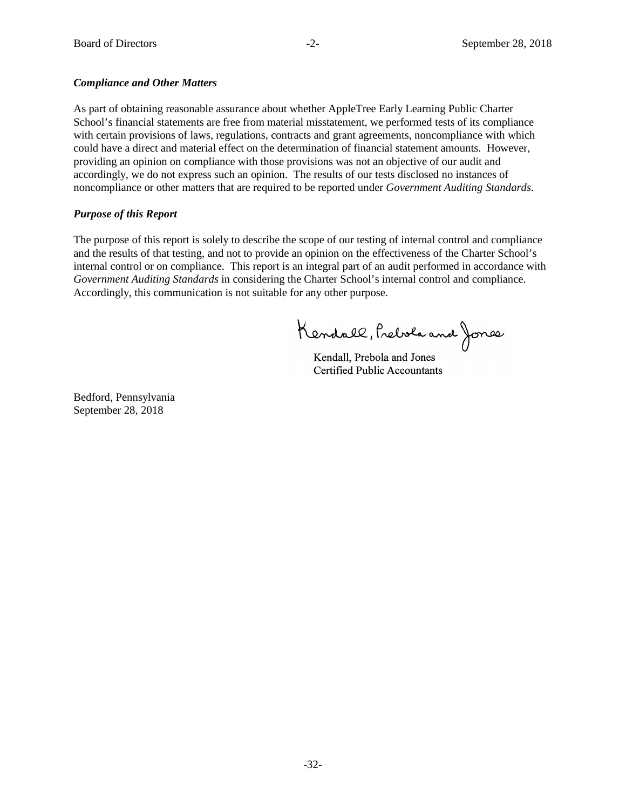## *Compliance and Other Matters*

As part of obtaining reasonable assurance about whether AppleTree Early Learning Public Charter School's financial statements are free from material misstatement, we performed tests of its compliance with certain provisions of laws, regulations, contracts and grant agreements, noncompliance with which could have a direct and material effect on the determination of financial statement amounts. However, providing an opinion on compliance with those provisions was not an objective of our audit and accordingly, we do not express such an opinion. The results of our tests disclosed no instances of noncompliance or other matters that are required to be reported under *Government Auditing Standards*.

## *Purpose of this Report*

The purpose of this report is solely to describe the scope of our testing of internal control and compliance and the results of that testing, and not to provide an opinion on the effectiveness of the Charter School's internal control or on compliance. This report is an integral part of an audit performed in accordance with *Government Auditing Standards* in considering the Charter School's internal control and compliance. Accordingly, this communication is not suitable for any other purpose.

Kendall, Prebola and Jones

Kendall, Prebola and Jones Kendall, Prebola and Jones Certified Public Accountants Certified Public Accountants

Bedford, Pennsylvania September 28, 2018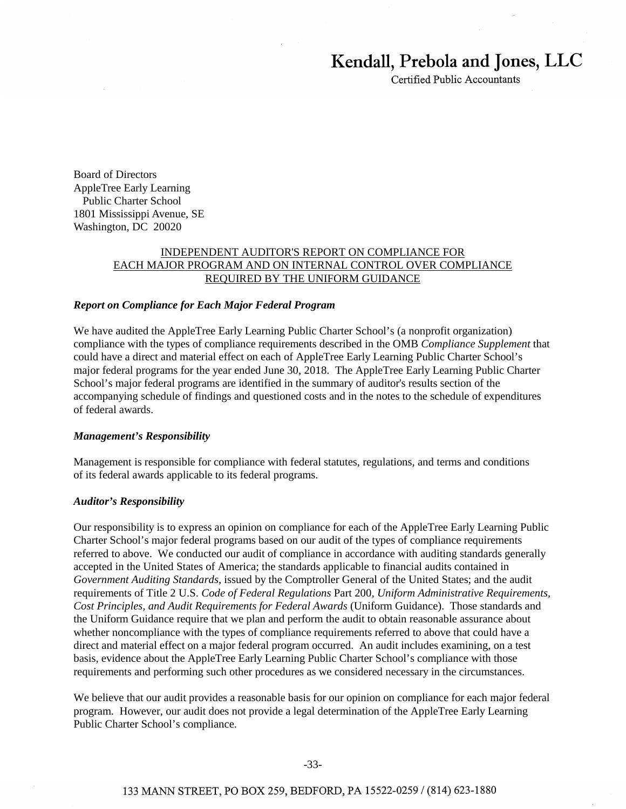# **Kendall, Prebola and Jones, LLC**

Certified Public Accountants

Board of Directors AppleTree Early Learning Public Charter School 1801 Mississippi Avenue, SE Washington, DC 20020

#### INDEPENDENT AUDITOR'S REPORT ON COMPLIANCE FOR EACH MAJOR PROGRAM AND ON INTERNAL CONTROL OVER COMPLIANCE REQUIRED BY THE UNIFORM GUIDANCE

#### *Report on Compliance for Each Major Federal Program*

We have audited the AppleTree Early Learning Public Charter School's (a nonprofit organization) compliance with the types of compliance requirements described in the OMB *Compliance Supplement* that could have a direct and material effect on each of AppleTree Early Learning Public Charter School's major federal programs for the year ended June 30, 2018. The AppleTree Early Learning Public Charter School's major federal programs are identified in the summary of auditor's results section of the accompanying schedule of findings and questioned costs and in the notes to the schedule of expenditures of federal awards.

#### *Management's Responsibility*

Management is responsible for compliance with federal statutes, regulations, and terms and conditions of its federal awards applicable to its federal programs.

#### *Auditor's Responsibility*

Our responsibility is to express an opinion on compliance for each of the AppleTree Early Learning Public Charter School's major federal programs based on our audit of the types of compliance requirements referred to above. We conducted our audit of compliance in accordance with auditing standards generally accepted in the United States of America; the standards applicable to financial audits contained in *Government Auditing Standards*, issued by the Comptroller General of the United States; and the audit requirements of Title 2 U.S. *Code of Federal Regulations* Part 200, *Uniform Administrative Requirements, Cost Principles, and Audit Requirements for Federal Awards* (Uniform Guidance). Those standards and the Uniform Guidance require that we plan and perform the audit to obtain reasonable assurance about whether noncompliance with the types of compliance requirements referred to above that could have a direct and material effect on a major federal program occurred. An audit includes examining, on a test basis, evidence about the AppleTree Early Learning Public Charter School's compliance with those requirements and performing such other procedures as we considered necessary in the circumstances.

We believe that our audit provides a reasonable basis for our opinion on compliance for each major federal program. However, our audit does not provide a legal determination of the AppleTree Early Learning Public Charter School's compliance.

#### 133 MANN STREET, PO BOX 259, BEDFORD, PA 15522-0259 / (814) 623-1880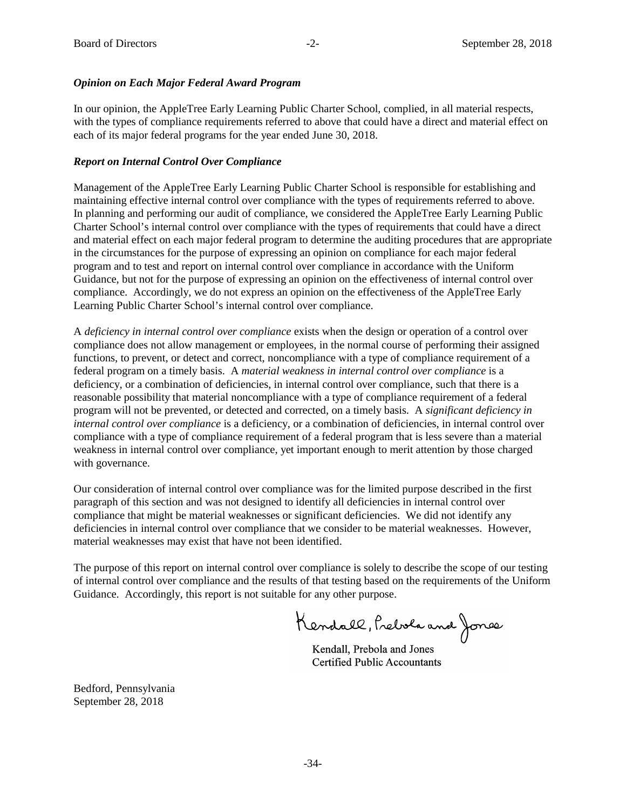## *Opinion on Each Major Federal Award Program*

In our opinion, the AppleTree Early Learning Public Charter School, complied, in all material respects, with the types of compliance requirements referred to above that could have a direct and material effect on each of its major federal programs for the year ended June 30, 2018.

#### *Report on Internal Control Over Compliance*

Management of the AppleTree Early Learning Public Charter School is responsible for establishing and maintaining effective internal control over compliance with the types of requirements referred to above. In planning and performing our audit of compliance, we considered the AppleTree Early Learning Public Charter School's internal control over compliance with the types of requirements that could have a direct and material effect on each major federal program to determine the auditing procedures that are appropriate in the circumstances for the purpose of expressing an opinion on compliance for each major federal program and to test and report on internal control over compliance in accordance with the Uniform Guidance, but not for the purpose of expressing an opinion on the effectiveness of internal control over compliance. Accordingly, we do not express an opinion on the effectiveness of the AppleTree Early Learning Public Charter School's internal control over compliance.

A *deficiency in internal control over compliance* exists when the design or operation of a control over compliance does not allow management or employees, in the normal course of performing their assigned functions, to prevent, or detect and correct, noncompliance with a type of compliance requirement of a federal program on a timely basis. A *material weakness in internal control over compliance* is a deficiency, or a combination of deficiencies, in internal control over compliance, such that there is a reasonable possibility that material noncompliance with a type of compliance requirement of a federal program will not be prevented, or detected and corrected, on a timely basis. A *significant deficiency in internal control over compliance* is a deficiency, or a combination of deficiencies, in internal control over compliance with a type of compliance requirement of a federal program that is less severe than a material weakness in internal control over compliance, yet important enough to merit attention by those charged with governance.

Our consideration of internal control over compliance was for the limited purpose described in the first paragraph of this section and was not designed to identify all deficiencies in internal control over compliance that might be material weaknesses or significant deficiencies. We did not identify any deficiencies in internal control over compliance that we consider to be material weaknesses. However, material weaknesses may exist that have not been identified.

The purpose of this report on internal control over compliance is solely to describe the scope of our testing of internal control over compliance and the results of that testing based on the requirements of the Uniform Guidance. Accordingly, this report is not suitable for any other purpose.

Kendall, Prebola and Jones

Kendall, Prebola and Jones Kendall, Prebola and Jones Certified Public Accountants Certified Public Accountants

Bedford, Pennsylvania September 28, 2018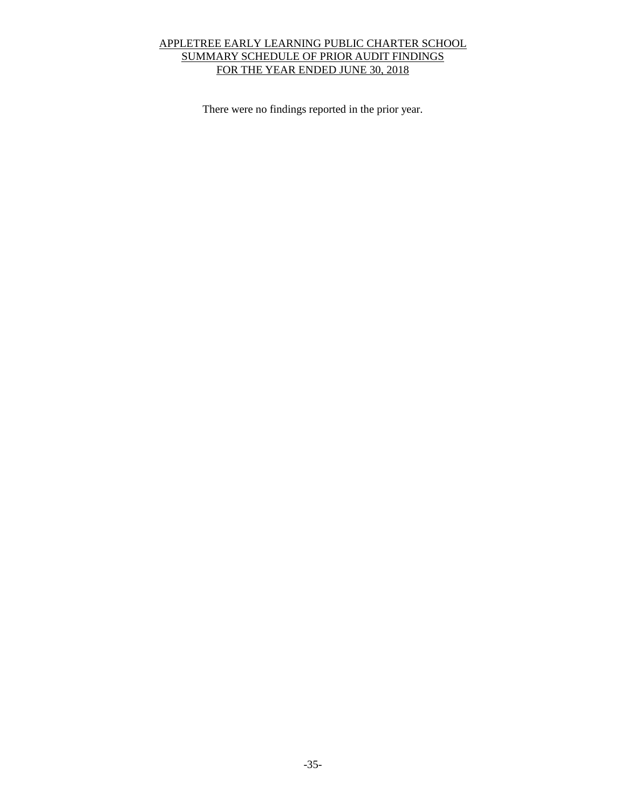# APPLETREE EARLY LEARNING PUBLIC CHARTER SCHOOL SUMMARY SCHEDULE OF PRIOR AUDIT FINDINGS FOR THE YEAR ENDED JUNE 30, 2018

There were no findings reported in the prior year.